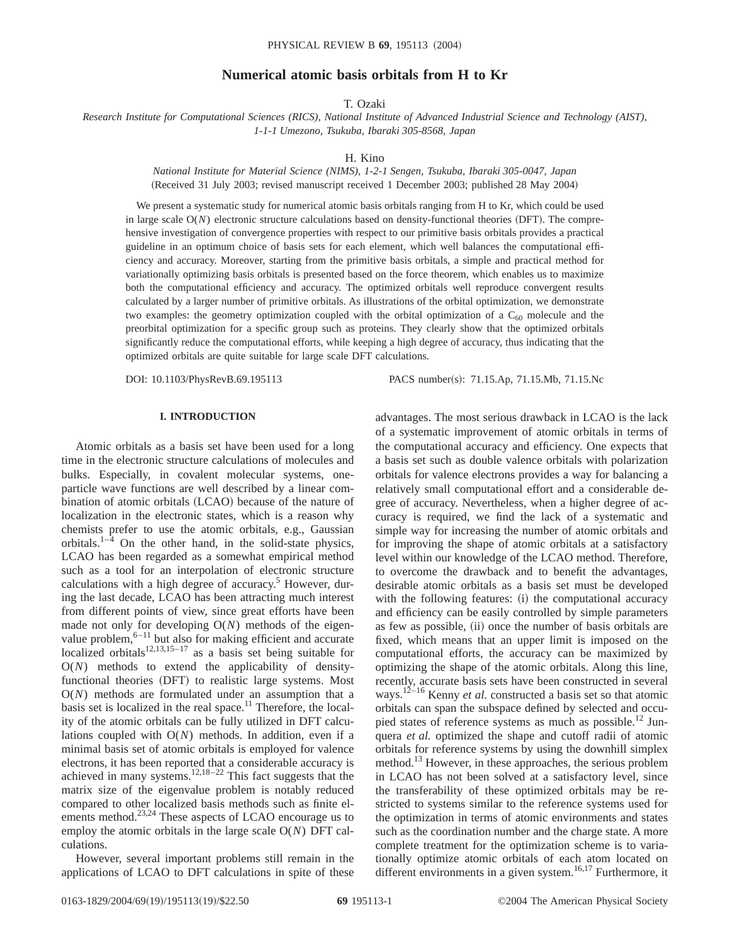# **Numerical atomic basis orbitals from H to Kr**

T. Ozaki

*Research Institute for Computational Sciences (RICS), National Institute of Advanced Industrial Science and Technology (AIST), 1-1-1 Umezono, Tsukuba, Ibaraki 305-8568, Japan*

## H. Kino

*National Institute for Material Science (NIMS), 1-2-1 Sengen, Tsukuba, Ibaraki 305-0047, Japan* (Received 31 July 2003; revised manuscript received 1 December 2003; published 28 May 2004)

We present a systematic study for numerical atomic basis orbitals ranging from H to Kr, which could be used in large scale  $O(N)$  electronic structure calculations based on density-functional theories (DFT). The comprehensive investigation of convergence properties with respect to our primitive basis orbitals provides a practical guideline in an optimum choice of basis sets for each element, which well balances the computational efficiency and accuracy. Moreover, starting from the primitive basis orbitals, a simple and practical method for variationally optimizing basis orbitals is presented based on the force theorem, which enables us to maximize both the computational efficiency and accuracy. The optimized orbitals well reproduce convergent results calculated by a larger number of primitive orbitals. As illustrations of the orbital optimization, we demonstrate two examples: the geometry optimization coupled with the orbital optimization of a  $C_{60}$  molecule and the preorbital optimization for a specific group such as proteins. They clearly show that the optimized orbitals significantly reduce the computational efforts, while keeping a high degree of accuracy, thus indicating that the optimized orbitals are quite suitable for large scale DFT calculations.

DOI: 10.1103/PhysRevB.69.195113 PACS number(s): 71.15.Ap, 71.15.Mb, 71.15.Nc

# **I. INTRODUCTION**

Atomic orbitals as a basis set have been used for a long time in the electronic structure calculations of molecules and bulks. Especially, in covalent molecular systems, oneparticle wave functions are well described by a linear combination of atomic orbitals (LCAO) because of the nature of localization in the electronic states, which is a reason why chemists prefer to use the atomic orbitals, e.g., Gaussian orbitals. $1-4$  On the other hand, in the solid-state physics, LCAO has been regarded as a somewhat empirical method such as a tool for an interpolation of electronic structure calculations with a high degree of accuracy.<sup>5</sup> However, during the last decade, LCAO has been attracting much interest from different points of view, since great efforts have been made not only for developing  $O(N)$  methods of the eigenvalue problem, $6-11$  but also for making efficient and accurate localized orbitals<sup>12,13,15–17</sup> as a basis set being suitable for O(*N*) methods to extend the applicability of densityfunctional theories (DFT) to realistic large systems. Most O(*N*) methods are formulated under an assumption that a basis set is localized in the real space.<sup>11</sup> Therefore, the locality of the atomic orbitals can be fully utilized in DFT calculations coupled with  $O(N)$  methods. In addition, even if a minimal basis set of atomic orbitals is employed for valence electrons, it has been reported that a considerable accuracy is achieved in many systems.<sup>12,18–22</sup> This fact suggests that the matrix size of the eigenvalue problem is notably reduced compared to other localized basis methods such as finite elements method.<sup>23,24</sup> These aspects of LCAO encourage us to employ the atomic orbitals in the large scale O(*N*) DFT calculations.

However, several important problems still remain in the applications of LCAO to DFT calculations in spite of these

advantages. The most serious drawback in LCAO is the lack of a systematic improvement of atomic orbitals in terms of the computational accuracy and efficiency. One expects that a basis set such as double valence orbitals with polarization orbitals for valence electrons provides a way for balancing a relatively small computational effort and a considerable degree of accuracy. Nevertheless, when a higher degree of accuracy is required, we find the lack of a systematic and simple way for increasing the number of atomic orbitals and for improving the shape of atomic orbitals at a satisfactory level within our knowledge of the LCAO method. Therefore, to overcome the drawback and to benefit the advantages, desirable atomic orbitals as a basis set must be developed with the following features:  $(i)$  the computational accuracy and efficiency can be easily controlled by simple parameters as few as possible, (ii) once the number of basis orbitals are fixed, which means that an upper limit is imposed on the computational efforts, the accuracy can be maximized by optimizing the shape of the atomic orbitals. Along this line, recently, accurate basis sets have been constructed in several ways.<sup>12–16</sup> Kenny *et al.* constructed a basis set so that atomic orbitals can span the subspace defined by selected and occupied states of reference systems as much as possible.<sup>12</sup> Junquera *et al.* optimized the shape and cutoff radii of atomic orbitals for reference systems by using the downhill simplex method.<sup>13</sup> However, in these approaches, the serious problem in LCAO has not been solved at a satisfactory level, since the transferability of these optimized orbitals may be restricted to systems similar to the reference systems used for the optimization in terms of atomic environments and states such as the coordination number and the charge state. A more complete treatment for the optimization scheme is to variationally optimize atomic orbitals of each atom located on different environments in a given system.<sup>16,17</sup> Furthermore, it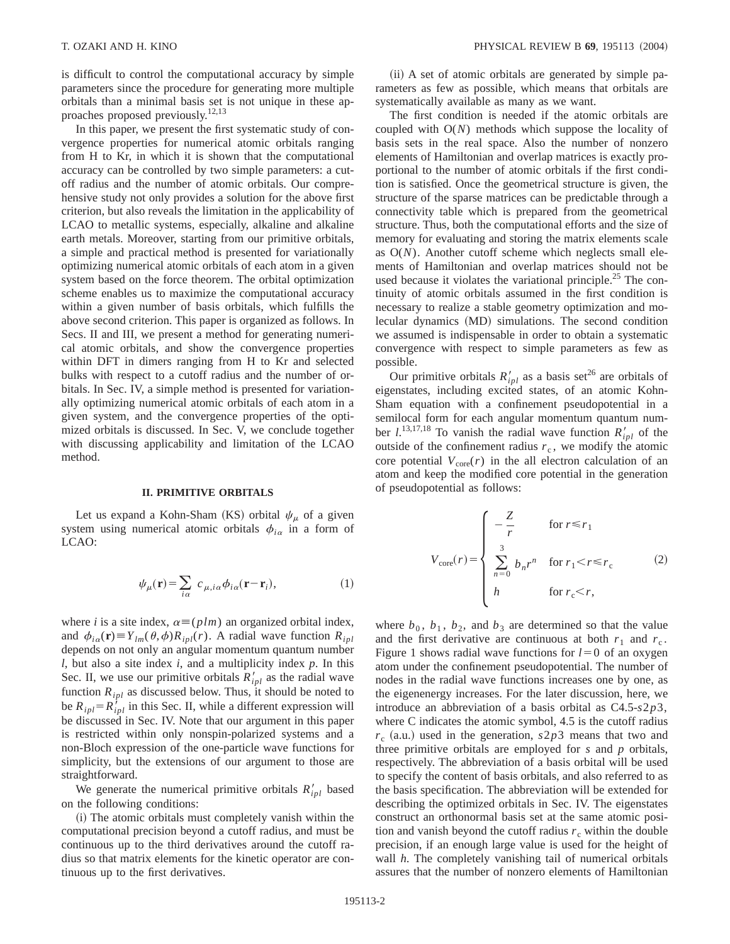is difficult to control the computational accuracy by simple parameters since the procedure for generating more multiple orbitals than a minimal basis set is not unique in these approaches proposed previously.12,13

In this paper, we present the first systematic study of convergence properties for numerical atomic orbitals ranging from H to Kr, in which it is shown that the computational accuracy can be controlled by two simple parameters: a cutoff radius and the number of atomic orbitals. Our comprehensive study not only provides a solution for the above first criterion, but also reveals the limitation in the applicability of LCAO to metallic systems, especially, alkaline and alkaline earth metals. Moreover, starting from our primitive orbitals, a simple and practical method is presented for variationally optimizing numerical atomic orbitals of each atom in a given system based on the force theorem. The orbital optimization scheme enables us to maximize the computational accuracy within a given number of basis orbitals, which fulfills the above second criterion. This paper is organized as follows. In Secs. II and III, we present a method for generating numerical atomic orbitals, and show the convergence properties within DFT in dimers ranging from H to Kr and selected bulks with respect to a cutoff radius and the number of orbitals. In Sec. IV, a simple method is presented for variationally optimizing numerical atomic orbitals of each atom in a given system, and the convergence properties of the optimized orbitals is discussed. In Sec. V, we conclude together with discussing applicability and limitation of the LCAO method.

## **II. PRIMITIVE ORBITALS**

Let us expand a Kohn-Sham (KS) orbital  $\psi_{\mu}$  of a given system using numerical atomic orbitals  $\phi_{i\alpha}$  in a form of LCAO:

$$
\psi_{\mu}(\mathbf{r}) = \sum_{i\alpha} c_{\mu,i\alpha} \phi_{i\alpha}(\mathbf{r} - \mathbf{r}_i),
$$
\n(1)

where *i* is a site index,  $\alpha \equiv (plm)$  an organized orbital index, and  $\phi_{i\alpha}(\mathbf{r}) \equiv Y_{lm}(\theta, \phi) R_{ipl}(r)$ . A radial wave function  $R_{ipl}$ depends on not only an angular momentum quantum number *l*, but also a site index *i*, and a multiplicity index *p*. In this Sec. II, we use our primitive orbitals  $R'_{ipl}$  as the radial wave function  $R_{ipl}$  as discussed below. Thus, it should be noted to be  $R_{ipl} = R'_{ipl}$  in this Sec. II, while a different expression will be discussed in Sec. IV. Note that our argument in this paper is restricted within only nonspin-polarized systems and a non-Bloch expression of the one-particle wave functions for simplicity, but the extensions of our argument to those are straightforward.

We generate the numerical primitive orbitals  $R'_{ipl}$  based on the following conditions:

 $(i)$  The atomic orbitals must completely vanish within the computational precision beyond a cutoff radius, and must be continuous up to the third derivatives around the cutoff radius so that matrix elements for the kinetic operator are continuous up to the first derivatives.

(ii) A set of atomic orbitals are generated by simple parameters as few as possible, which means that orbitals are systematically available as many as we want.

The first condition is needed if the atomic orbitals are coupled with O(*N*) methods which suppose the locality of basis sets in the real space. Also the number of nonzero elements of Hamiltonian and overlap matrices is exactly proportional to the number of atomic orbitals if the first condition is satisfied. Once the geometrical structure is given, the structure of the sparse matrices can be predictable through a connectivity table which is prepared from the geometrical structure. Thus, both the computational efforts and the size of memory for evaluating and storing the matrix elements scale as O(*N*). Another cutoff scheme which neglects small elements of Hamiltonian and overlap matrices should not be used because it violates the variational principle.<sup>25</sup> The continuity of atomic orbitals assumed in the first condition is necessary to realize a stable geometry optimization and molecular dynamics (MD) simulations. The second condition we assumed is indispensable in order to obtain a systematic convergence with respect to simple parameters as few as possible.

Our primitive orbitals  $R'_{ipl}$  as a basis set<sup>26</sup> are orbitals of eigenstates, including excited states, of an atomic Kohn-Sham equation with a confinement pseudopotential in a semilocal form for each angular momentum quantum number  $l^{13,17,18}$  To vanish the radial wave function  $R'_{ipl}$  of the outside of the confinement radius  $r_c$ , we modify the atomic core potential  $V_{\text{core}}(r)$  in the all electron calculation of an atom and keep the modified core potential in the generation of pseudopotential as follows:

$$
V_{\text{core}}(r) = \begin{cases} -\frac{Z}{r} & \text{for } r \le r_1\\ \sum_{n=0}^3 b_n r^n & \text{for } r_1 < r \le r_c\\ h & \text{for } r_c < r, \end{cases} \tag{2}
$$

where  $b_0$ ,  $b_1$ ,  $b_2$ , and  $b_3$  are determined so that the value and the first derivative are continuous at both  $r_1$  and  $r_c$ . Figure 1 shows radial wave functions for  $l=0$  of an oxygen atom under the confinement pseudopotential. The number of nodes in the radial wave functions increases one by one, as the eigenenergy increases. For the later discussion, here, we introduce an abbreviation of a basis orbital as C4.5-*s*2*p*3, where C indicates the atomic symbol, 4.5 is the cutoff radius  $r_c$  (a.u.) used in the generation,  $s2p3$  means that two and three primitive orbitals are employed for *s* and *p* orbitals, respectively. The abbreviation of a basis orbital will be used to specify the content of basis orbitals, and also referred to as the basis specification. The abbreviation will be extended for describing the optimized orbitals in Sec. IV. The eigenstates construct an orthonormal basis set at the same atomic position and vanish beyond the cutoff radius  $r_c$  within the double precision, if an enough large value is used for the height of wall *h*. The completely vanishing tail of numerical orbitals assures that the number of nonzero elements of Hamiltonian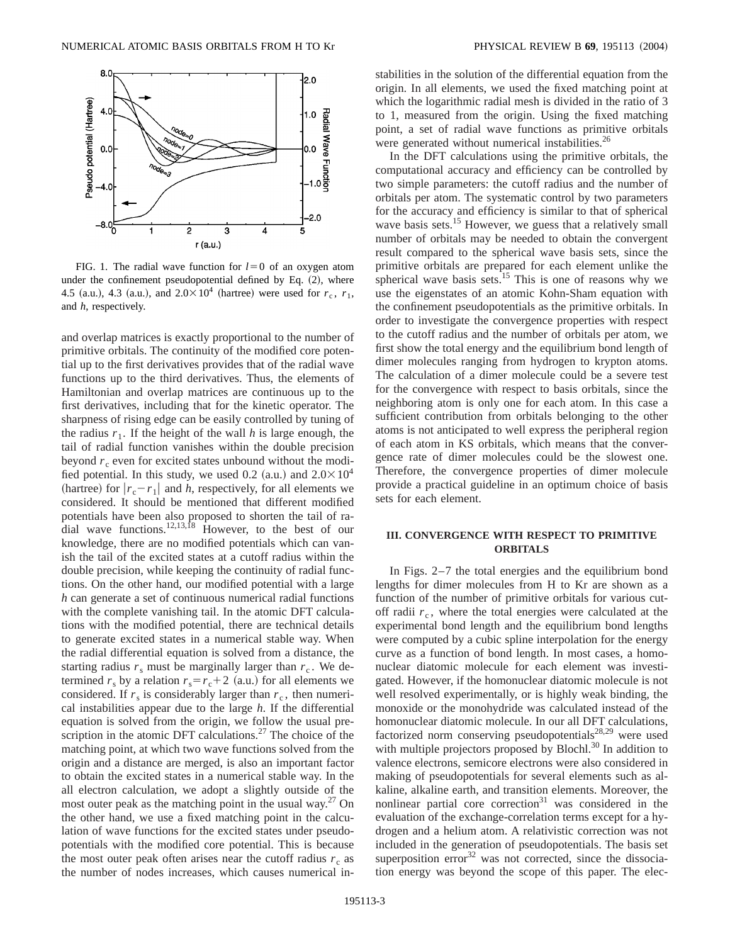

FIG. 1. The radial wave function for  $l=0$  of an oxygen atom under the confinement pseudopotential defined by Eq.  $(2)$ , where 4.5 (a.u.), 4.3 (a.u.), and  $2.0 \times 10^4$  (hartree) were used for  $r_c$ ,  $r_1$ , and *h*, respectively.

and overlap matrices is exactly proportional to the number of primitive orbitals. The continuity of the modified core potential up to the first derivatives provides that of the radial wave functions up to the third derivatives. Thus, the elements of Hamiltonian and overlap matrices are continuous up to the first derivatives, including that for the kinetic operator. The sharpness of rising edge can be easily controlled by tuning of the radius  $r_1$ . If the height of the wall *h* is large enough, the tail of radial function vanishes within the double precision beyond  $r_c$  even for excited states unbound without the modified potential. In this study, we used 0.2 (a.u.) and  $2.0\times10^4$ (hartree) for  $|r_c - r_1|$  and *h*, respectively, for all elements we considered. It should be mentioned that different modified potentials have been also proposed to shorten the tail of radial wave functions.<sup>12,13,18</sup> However, to the best of our knowledge, there are no modified potentials which can vanish the tail of the excited states at a cutoff radius within the double precision, while keeping the continuity of radial functions. On the other hand, our modified potential with a large *h* can generate a set of continuous numerical radial functions with the complete vanishing tail. In the atomic DFT calculations with the modified potential, there are technical details to generate excited states in a numerical stable way. When the radial differential equation is solved from a distance, the starting radius  $r_s$  must be marginally larger than  $r_c$ . We determined  $r_s$  by a relation  $r_s = r_c + 2$  (a.u.) for all elements we considered. If  $r_s$  is considerably larger than  $r_c$ , then numerical instabilities appear due to the large *h*. If the differential equation is solved from the origin, we follow the usual prescription in the atomic DFT calculations.<sup>27</sup> The choice of the matching point, at which two wave functions solved from the origin and a distance are merged, is also an important factor to obtain the excited states in a numerical stable way. In the all electron calculation, we adopt a slightly outside of the most outer peak as the matching point in the usual way.<sup>27</sup> On the other hand, we use a fixed matching point in the calculation of wave functions for the excited states under pseudopotentials with the modified core potential. This is because the most outer peak often arises near the cutoff radius  $r_c$  as the number of nodes increases, which causes numerical instabilities in the solution of the differential equation from the origin. In all elements, we used the fixed matching point at which the logarithmic radial mesh is divided in the ratio of 3 to 1, measured from the origin. Using the fixed matching point, a set of radial wave functions as primitive orbitals were generated without numerical instabilities.<sup>26</sup>

In the DFT calculations using the primitive orbitals, the computational accuracy and efficiency can be controlled by two simple parameters: the cutoff radius and the number of orbitals per atom. The systematic control by two parameters for the accuracy and efficiency is similar to that of spherical wave basis sets.<sup>15</sup> However, we guess that a relatively small number of orbitals may be needed to obtain the convergent result compared to the spherical wave basis sets, since the primitive orbitals are prepared for each element unlike the spherical wave basis sets.<sup>15</sup> This is one of reasons why we use the eigenstates of an atomic Kohn-Sham equation with the confinement pseudopotentials as the primitive orbitals. In order to investigate the convergence properties with respect to the cutoff radius and the number of orbitals per atom, we first show the total energy and the equilibrium bond length of dimer molecules ranging from hydrogen to krypton atoms. The calculation of a dimer molecule could be a severe test for the convergence with respect to basis orbitals, since the neighboring atom is only one for each atom. In this case a sufficient contribution from orbitals belonging to the other atoms is not anticipated to well express the peripheral region of each atom in KS orbitals, which means that the convergence rate of dimer molecules could be the slowest one. Therefore, the convergence properties of dimer molecule provide a practical guideline in an optimum choice of basis sets for each element.

# **III. CONVERGENCE WITH RESPECT TO PRIMITIVE ORBITALS**

In Figs. 2–7 the total energies and the equilibrium bond lengths for dimer molecules from H to Kr are shown as a function of the number of primitive orbitals for various cutoff radii  $r_c$ , where the total energies were calculated at the experimental bond length and the equilibrium bond lengths were computed by a cubic spline interpolation for the energy curve as a function of bond length. In most cases, a homonuclear diatomic molecule for each element was investigated. However, if the homonuclear diatomic molecule is not well resolved experimentally, or is highly weak binding, the monoxide or the monohydride was calculated instead of the homonuclear diatomic molecule. In our all DFT calculations, factorized norm conserving pseudopotentials $28,29$  were used with multiple projectors proposed by Blochl.<sup>30</sup> In addition to valence electrons, semicore electrons were also considered in making of pseudopotentials for several elements such as alkaline, alkaline earth, and transition elements. Moreover, the nonlinear partial core correction $31$  was considered in the evaluation of the exchange-correlation terms except for a hydrogen and a helium atom. A relativistic correction was not included in the generation of pseudopotentials. The basis set superposition error $^{32}$  was not corrected, since the dissociation energy was beyond the scope of this paper. The elec-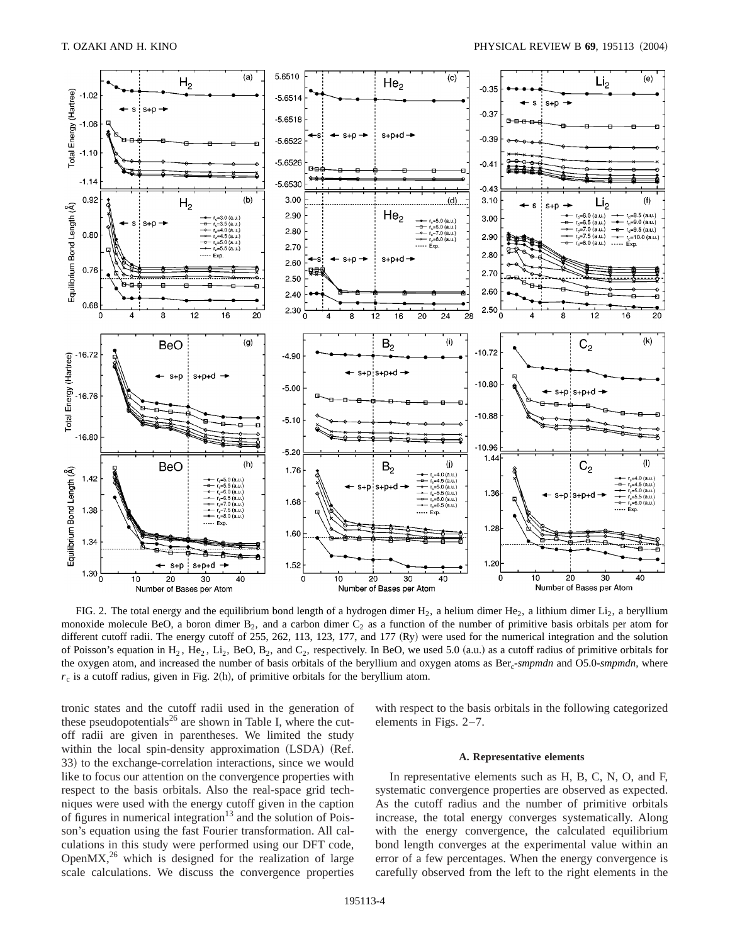

FIG. 2. The total energy and the equilibrium bond length of a hydrogen dimer H<sub>2</sub>, a helium dimer He<sub>2</sub>, a lithium dimer Li<sub>2</sub>, a beryllium monoxide molecule BeO, a boron dimer  $B_2$ , and a carbon dimer  $C_2$  as a function of the number of primitive basis orbitals per atom for different cutoff radii. The energy cutoff of 255, 262, 113, 123, 177, and 177  $(Ry)$  were used for the numerical integration and the solution of Poisson's equation in H<sub>2</sub>, He<sub>2</sub>, Li<sub>2</sub>, BeO, B<sub>2</sub>, and C<sub>2</sub>, respectively. In BeO, we used 5.0 (a.u.) as a cutoff radius of primitive orbitals for the oxygen atom, and increased the number of basis orbitals of the beryllium and oxygen atoms as Berc*-smpmdn* and O5.0-*smpmdn*, where  $r_c$  is a cutoff radius, given in Fig. 2(h), of primitive orbitals for the beryllium atom.

tronic states and the cutoff radii used in the generation of these pseudopotentials<sup>26</sup> are shown in Table I, where the cutoff radii are given in parentheses. We limited the study within the local spin-density approximation  $(LSDA)$  (Ref. 33) to the exchange-correlation interactions, since we would like to focus our attention on the convergence properties with respect to the basis orbitals. Also the real-space grid techniques were used with the energy cutoff given in the caption of figures in numerical integration $13$  and the solution of Poisson's equation using the fast Fourier transformation. All calculations in this study were performed using our DFT code, Open $MX<sup>26</sup>$  which is designed for the realization of large scale calculations. We discuss the convergence properties with respect to the basis orbitals in the following categorized elements in Figs. 2–7.

#### **A. Representative elements**

In representative elements such as H, B, C, N, O, and F, systematic convergence properties are observed as expected. As the cutoff radius and the number of primitive orbitals increase, the total energy converges systematically. Along with the energy convergence, the calculated equilibrium bond length converges at the experimental value within an error of a few percentages. When the energy convergence is carefully observed from the left to the right elements in the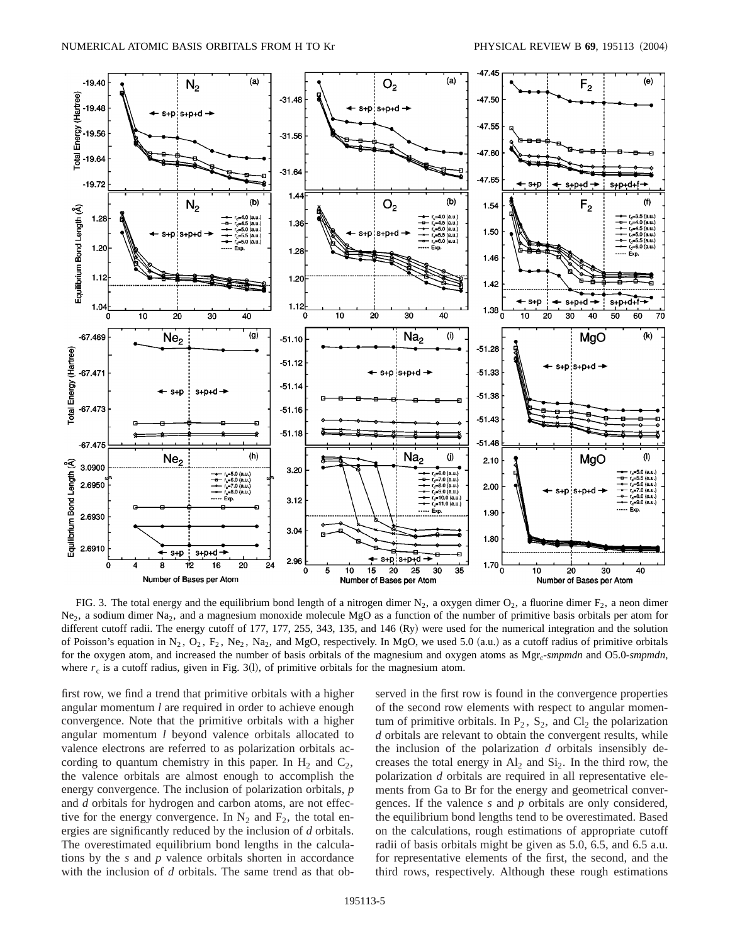

FIG. 3. The total energy and the equilibrium bond length of a nitrogen dimer N<sub>2</sub>, a oxygen dimer O<sub>2</sub>, a fluorine dimer F<sub>2</sub>, a neon dimer  $Ne<sub>2</sub>$ , a sodium dimer Na<sub>2</sub>, and a magnesium monoxide molecule MgO as a function of the number of primitive basis orbitals per atom for different cutoff radii. The energy cutoff of 177, 177, 255, 343, 135, and 146  $(Ry)$  were used for the numerical integration and the solution of Poisson's equation in N<sub>2</sub>, O<sub>2</sub>, F<sub>2</sub>, Ne<sub>2</sub>, Na<sub>2</sub>, and MgO, respectively. In MgO, we used 5.0 (a.u.) as a cutoff radius of primitive orbitals for the oxygen atom, and increased the number of basis orbitals of the magnesium and oxygen atoms as Mgr<sub>c</sub>-smpmdn and O5.0-*smpmdn*, where  $r_c$  is a cutoff radius, given in Fig. 3(1), of primitive orbitals for the magnesium atom.

first row, we find a trend that primitive orbitals with a higher angular momentum *l* are required in order to achieve enough convergence. Note that the primitive orbitals with a higher angular momentum *l* beyond valence orbitals allocated to valence electrons are referred to as polarization orbitals according to quantum chemistry in this paper. In  $H_2$  and  $C_2$ , the valence orbitals are almost enough to accomplish the energy convergence. The inclusion of polarization orbitals, *p* and *d* orbitals for hydrogen and carbon atoms, are not effective for the energy convergence. In  $N_2$  and  $F_2$ , the total energies are significantly reduced by the inclusion of *d* orbitals. The overestimated equilibrium bond lengths in the calculations by the *s* and *p* valence orbitals shorten in accordance with the inclusion of *d* orbitals. The same trend as that observed in the first row is found in the convergence properties of the second row elements with respect to angular momentum of primitive orbitals. In  $P_2$ ,  $S_2$ , and  $Cl_2$  the polarization *d* orbitals are relevant to obtain the convergent results, while the inclusion of the polarization *d* orbitals insensibly decreases the total energy in  $Al<sub>2</sub>$  and  $Si<sub>2</sub>$ . In the third row, the polarization *d* orbitals are required in all representative elements from Ga to Br for the energy and geometrical convergences. If the valence *s* and *p* orbitals are only considered, the equilibrium bond lengths tend to be overestimated. Based on the calculations, rough estimations of appropriate cutoff radii of basis orbitals might be given as 5.0, 6.5, and 6.5 a.u. for representative elements of the first, the second, and the third rows, respectively. Although these rough estimations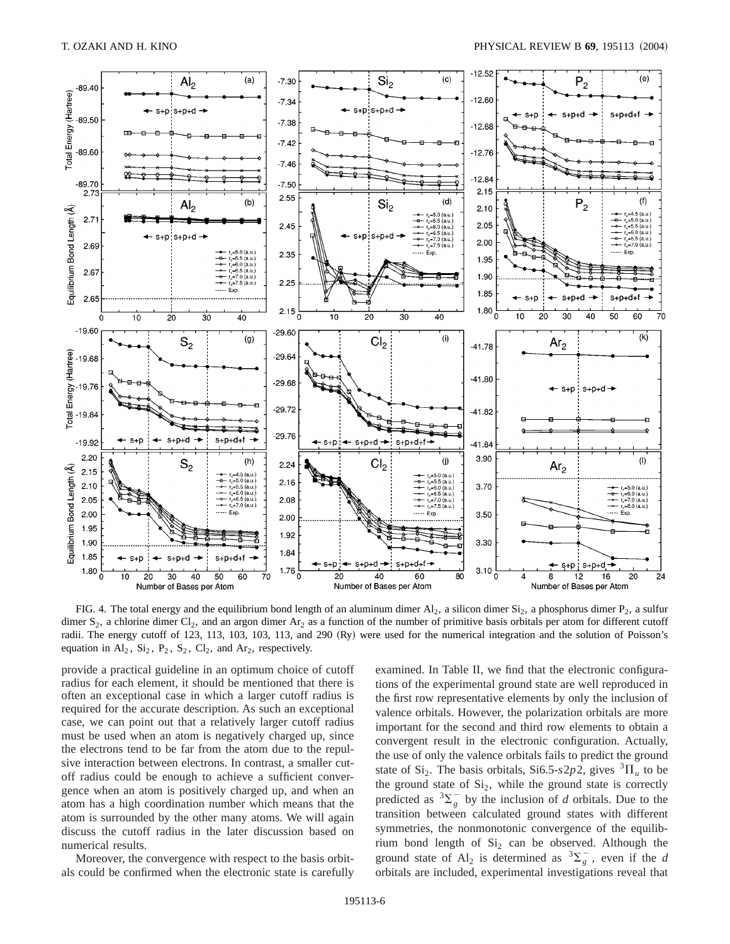

FIG. 4. The total energy and the equilibrium bond length of an aluminum dimer  $Al_2$ , a silicon dimer  $Si_2$ , a phosphorus dimer  $P_2$ , a sulfur dimer  $S_2$ , a chlorine dimer  $Cl_2$ , and an argon dimer  $Ar_2$  as a function of the number of primitive basis orbitals per atom for different cutoff radii. The energy cutoff of 123, 113, 103, 103, 113, and 290 (Ry) were used for the numerical integration and the solution of Poisson's equation in  $Al_2$ ,  $Si_2$ ,  $P_2$ ,  $S_2$ ,  $Cl_2$ , and  $Ar_2$ , respectively.

provide a practical guideline in an optimum choice of cutoff radius for each element, it should be mentioned that there is often an exceptional case in which a larger cutoff radius is required for the accurate description. As such an exceptional case, we can point out that a relatively larger cutoff radius must be used when an atom is negatively charged up, since the electrons tend to be far from the atom due to the repulsive interaction between electrons. In contrast, a smaller cutoff radius could be enough to achieve a sufficient convergence when an atom is positively charged up, and when an atom has a high coordination number which means that the atom is surrounded by the other many atoms. We will again discuss the cutoff radius in the later discussion based on numerical results.

Moreover, the convergence with respect to the basis orbitals could be confirmed when the electronic state is carefully examined. In Table II, we find that the electronic configurations of the experimental ground state are well reproduced in the first row representative elements by only the inclusion of valence orbitals. However, the polarization orbitals are more important for the second and third row elements to obtain a convergent result in the electronic configuration. Actually, the use of only the valence orbitals fails to predict the ground state of Si<sub>2</sub>. The basis orbitals, Si6.5- $s2p2$ , gives  ${}^{3}$  $\Pi$ <sub>u</sub> to be the ground state of  $Si<sub>2</sub>$ , while the ground state is correctly predicted as  ${}^{3}\Sigma_{g}^{-}$  by the inclusion of *d* orbitals. Due to the transition between calculated ground states with different symmetries, the nonmonotonic convergence of the equilibrium bond length of  $Si<sub>2</sub>$  can be observed. Although the ground state of Al<sub>2</sub> is determined as  ${}^{3}\Sigma_{g}^{-}$ , even if the *d* orbitals are included, experimental investigations reveal that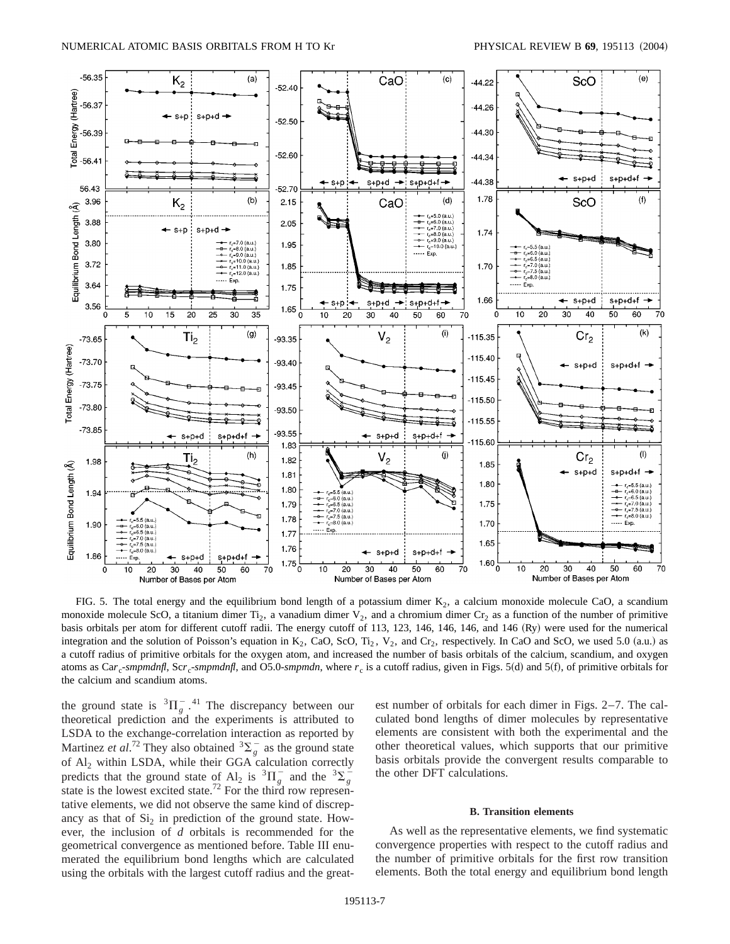

FIG. 5. The total energy and the equilibrium bond length of a potassium dimer  $K_2$ , a calcium monoxide molecule CaO, a scandium monoxide molecule ScO, a titanium dimer Ti<sub>2</sub>, a vanadium dimer  $V_2$ , and a chromium dimer Cr<sub>2</sub> as a function of the number of primitive basis orbitals per atom for different cutoff radii. The energy cutoff of 113, 123, 146, 146, 146, and 146 (Ry) were used for the numerical integration and the solution of Poisson's equation in  $K_2$ , CaO, ScO, Ti<sub>2</sub>, V<sub>2</sub>, and Cr<sub>2</sub>, respectively. In CaO and ScO, we used 5.0 (a.u.) as a cutoff radius of primitive orbitals for the oxygen atom, and increased the number of basis orbitals of the calcium, scandium, and oxygen atoms as  $Car_c$ -*smpmdnfl*, Scr<sub>c</sub>-*smpmdnfl*, and O5.0-*smpmdn*, where  $r_c$  is a cutoff radius, given in Figs. 5(d) and 5(f), of primitive orbitals for the calcium and scandium atoms.

the ground state is  ${}^{3}\Pi_{g}^{-}$ .<sup>41</sup> The discrepancy between our theoretical prediction and the experiments is attributed to LSDA to the exchange-correlation interaction as reported by Martinez *et al.*<sup>72</sup> They also obtained  ${}^{3}\Sigma_{g}^{-}$  as the ground state of Al<sub>2</sub> within LSDA, while their GGA calculation correctly predicts that the ground state of Al<sub>2</sub> is <sup>3</sup> $\Pi_g^-$  and the <sup>3</sup> $\Sigma_g^$ state is the lowest excited state.<sup>72</sup> For the third row representative elements, we did not observe the same kind of discrepancy as that of  $Si<sub>2</sub>$  in prediction of the ground state. However, the inclusion of *d* orbitals is recommended for the geometrical convergence as mentioned before. Table III enumerated the equilibrium bond lengths which are calculated using the orbitals with the largest cutoff radius and the great-

est number of orbitals for each dimer in Figs. 2–7. The calculated bond lengths of dimer molecules by representative elements are consistent with both the experimental and the other theoretical values, which supports that our primitive basis orbitals provide the convergent results comparable to the other DFT calculations.

## **B. Transition elements**

As well as the representative elements, we find systematic convergence properties with respect to the cutoff radius and the number of primitive orbitals for the first row transition elements. Both the total energy and equilibrium bond length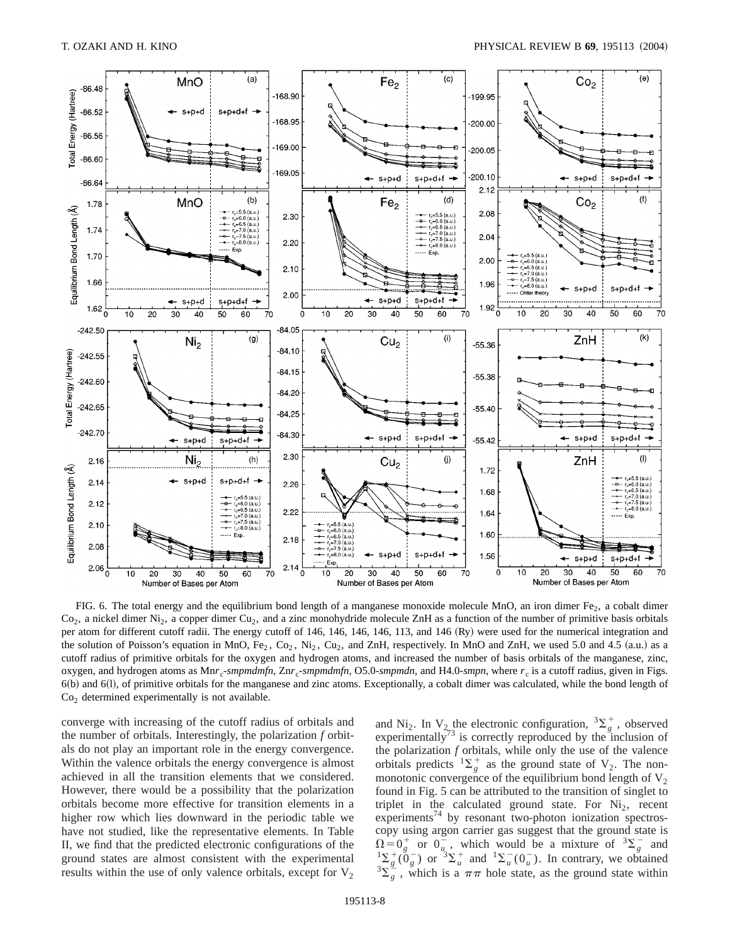

FIG. 6. The total energy and the equilibrium bond length of a manganese monoxide molecule MnO, an iron dimer Fe<sub>2</sub>, a cobalt dimer  $Co<sub>2</sub>$ , a nickel dimer Ni<sub>2</sub>, a copper dimer Cu<sub>2</sub>, and a zinc monohydride molecule ZnH as a function of the number of primitive basis orbitals per atom for different cutoff radii. The energy cutoff of 146, 146, 146, 146, 113, and 146 (Ry) were used for the numerical integration and the solution of Poisson's equation in MnO, Fe<sub>2</sub>, Co<sub>2</sub>, N<sub>12</sub>, Cu<sub>2</sub>, and ZnH, respectively. In MnO and ZnH, we used 5.0 and 4.5 (a.u.) as a cutoff radius of primitive orbitals for the oxygen and hydrogen atoms, and increased the number of basis orbitals of the manganese, zinc, oxygen, and hydrogen atoms as Mn*r*<sub>c</sub>-*smpmdmfn*, Znr<sub>c</sub>-*smpmdmfn*, O5.0-*smpmdn*, and H4.0-*smpn*, where  $r_c$  is a cutoff radius, given in Figs. 6~b! and 6~l!, of primitive orbitals for the manganese and zinc atoms. Exceptionally, a cobalt dimer was calculated, while the bond length of  $Co<sub>2</sub>$  determined experimentally is not available.

converge with increasing of the cutoff radius of orbitals and the number of orbitals. Interestingly, the polarization *f* orbitals do not play an important role in the energy convergence. Within the valence orbitals the energy convergence is almost achieved in all the transition elements that we considered. However, there would be a possibility that the polarization orbitals become more effective for transition elements in a higher row which lies downward in the periodic table we have not studied, like the representative elements. In Table II, we find that the predicted electronic configurations of the ground states are almost consistent with the experimental results within the use of only valence orbitals, except for  $V_2$ 

and Ni<sub>2</sub>. In V<sub>2</sub><sub>th</sub> electronic configuration,  ${}^3\Sigma_g^+$ , observed experimentally<sup>73</sup> is correctly reproduced by the inclusion of the polarization *f* orbitals, while only the use of the valence orbitals predicts  ${}^{1}\Sigma_{g}^{+}$  as the ground state of  $V_2$ . The nonmonotonic convergence of the equilibrium bond length of  $V_2$ found in Fig. 5 can be attributed to the transition of singlet to triplet in the calculated ground state. For  $Ni<sub>2</sub>$ , recent experiments<sup>74</sup> by resonant two-photon ionization spectroscopy using argon carrier gas suggest that the ground state is  $\Omega = 0_g^+$  or  $0_u^-$ , which would be a mixture of  ${}^3\Sigma_g^-$  and  $\frac{1}{2} \sum_{g}^{+} (\stackrel{\circ}{0}_{g}^{-})$  or  $\bar{3} \sum_{u}^{+}$  and  $\frac{1}{2} \sum_{u}^{+} (\stackrel{\circ}{0}_{u}^{-})$ . In contrary, we obtained  ${}^{3}\Sigma_{g}^{^{\circ}}$ , which is a  $\pi\pi$  hole state, as the ground state within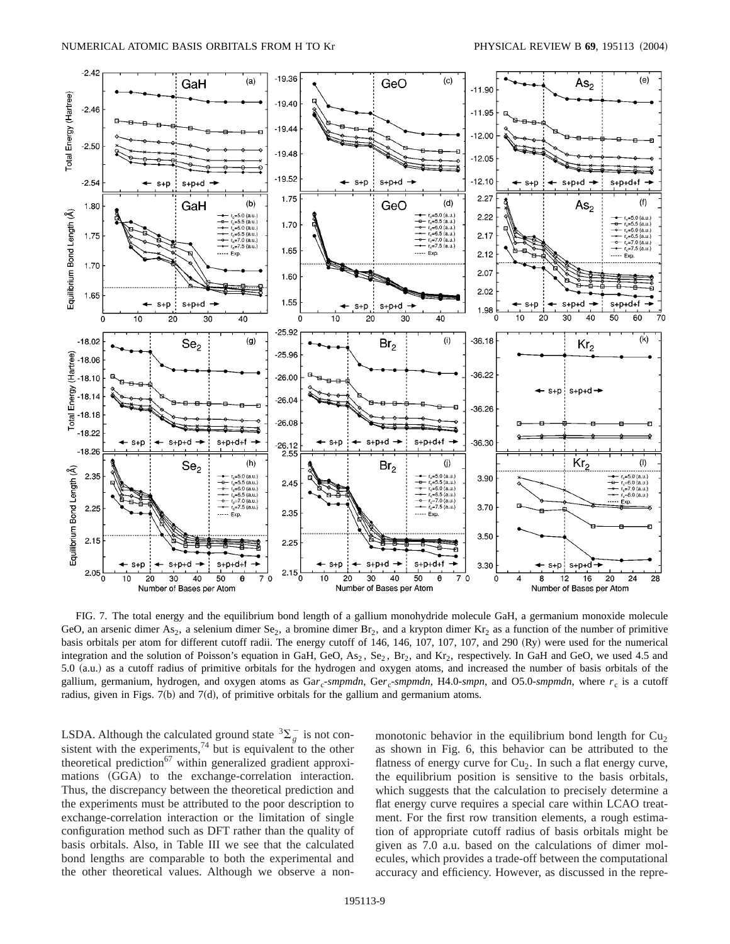

FIG. 7. The total energy and the equilibrium bond length of a gallium monohydride molecule GaH, a germanium monoxide molecule GeO, an arsenic dimer As<sub>2</sub>, a selenium dimer Se<sub>2</sub>, a bromine dimer Br<sub>2</sub>, and a krypton dimer Kr<sub>2</sub> as a function of the number of primitive basis orbitals per atom for different cutoff radii. The energy cutoff of 146, 146, 107, 107, 107, and 290 (Ry) were used for the numerical integration and the solution of Poisson's equation in GaH, GeO, As<sub>2</sub>, Se<sub>2</sub>, Br<sub>2</sub>, and Kr<sub>2</sub>, respectively. In GaH and GeO, we used 4.5 and 5.0 (a.u.) as a cutoff radius of primitive orbitals for the hydrogen and oxygen atoms, and increased the number of basis orbitals of the gallium, germanium, hydrogen, and oxygen atoms as Gar<sub>c</sub>-*smpmdn*, Ger<sub>c</sub>-*smpmdn*, H4.0-*smpn*, and O5.0-*smpmdn*, where  $r_c$  is a cutoff radius, given in Figs.  $7(b)$  and  $7(d)$ , of primitive orbitals for the gallium and germanium atoms.

LSDA. Although the calculated ground state  ${}^{3}\Sigma_{g}^{-}$  is not consistent with the experiments,<sup>74</sup> but is equivalent to the other theoretical prediction<sup>67</sup> within generalized gradient approximations (GGA) to the exchange-correlation interaction. Thus, the discrepancy between the theoretical prediction and the experiments must be attributed to the poor description to exchange-correlation interaction or the limitation of single configuration method such as DFT rather than the quality of basis orbitals. Also, in Table III we see that the calculated bond lengths are comparable to both the experimental and the other theoretical values. Although we observe a non-

monotonic behavior in the equilibrium bond length for  $Cu<sub>2</sub>$ as shown in Fig. 6, this behavior can be attributed to the flatness of energy curve for  $Cu<sub>2</sub>$ . In such a flat energy curve, the equilibrium position is sensitive to the basis orbitals, which suggests that the calculation to precisely determine a flat energy curve requires a special care within LCAO treatment. For the first row transition elements, a rough estimation of appropriate cutoff radius of basis orbitals might be given as 7.0 a.u. based on the calculations of dimer molecules, which provides a trade-off between the computational accuracy and efficiency. However, as discussed in the repre-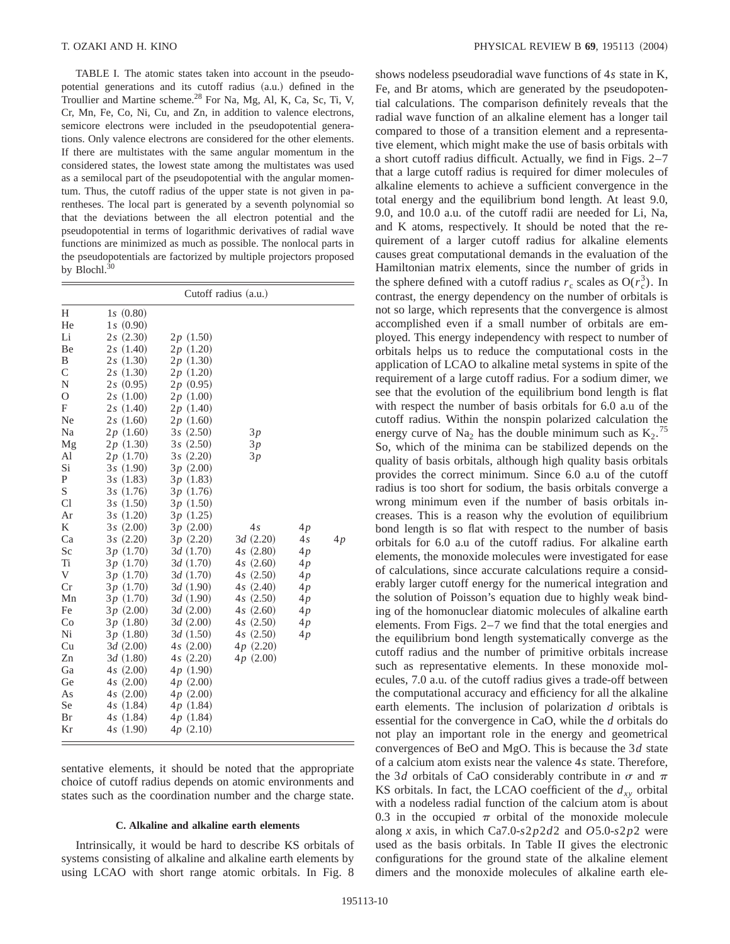TABLE I. The atomic states taken into account in the pseudopotential generations and its cutoff radius (a.u.) defined in the Troullier and Martine scheme.28 For Na, Mg, Al, K, Ca, Sc, Ti, V, Cr, Mn, Fe, Co, Ni, Cu, and Zn, in addition to valence electrons, semicore electrons were included in the pseudopotential generations. Only valence electrons are considered for the other elements. If there are multistates with the same angular momentum in the considered states, the lowest state among the multistates was used as a semilocal part of the pseudopotential with the angular momentum. Thus, the cutoff radius of the upper state is not given in parentheses. The local part is generated by a seventh polynomial so that the deviations between the all electron potential and the pseudopotential in terms of logarithmic derivatives of radial wave functions are minimized as much as possible. The nonlocal parts in the pseudopotentials are factorized by multiple projectors proposed by Blochl.<sup>30</sup>

|                | Cutoff radius (a.u.) |          |          |    |    |
|----------------|----------------------|----------|----------|----|----|
| H              | 1s(0.80)             |          |          |    |    |
| He             | 1s(0.90)             |          |          |    |    |
| Li             | 2s(2.30)             | 2p(1.50) |          |    |    |
| Be             | 2s(1.40)             | 2p(1.20) |          |    |    |
| B              | 2s(1.30)             | 2p(1.30) |          |    |    |
| $\mathcal{C}$  | 2s(1.30)             | 2p(1.20) |          |    |    |
| N              | 2s(0.95)             | 2p(0.95) |          |    |    |
| $\overline{O}$ | 2s(1.00)             | 2p(1.00) |          |    |    |
| F              | 2s(1.40)             | 2p(1.40) |          |    |    |
| Ne             | 2s(1.60)             | 2p(1.60) |          |    |    |
| Na             | 2p(1.60)             | 3s(2.50) | 3p       |    |    |
| Mg             | 2p(1.30)             | 3s(2.50) | 3p       |    |    |
| Al             | 2p(1.70)             | 3s(2.20) | 3p       |    |    |
| Si             | 3s(1.90)             | 3p(2.00) |          |    |    |
| P              | 3s(1.83)             | 3p(1.83) |          |    |    |
| ${\bf S}$      | 3s(1.76)             | 3p(1.76) |          |    |    |
| Cl             | 3s(1.50)             | 3p(1.50) |          |    |    |
| Ar             | 3s(1.20)             | 3p(1.25) |          |    |    |
| K              | 3s(2.00)             | 3p(2.00) | 4s       | 4p |    |
| Ca             | 3s(2.20)             | 3p(2.20) | 3d(2.20) | 4s | 4p |
| Sc             | 3p(1.70)             | 3d(1.70) | 4s(2.80) | 4p |    |
| Ti             | 3p(1.70)             | 3d(1.70) | 4s(2.60) | 4p |    |
| V              | 3p(1.70)             | 3d(1.70) | 4s(2.50) | 4p |    |
| Cr             | 3p(1.70)             | 3d(1.90) | 4s(2.40) | 4p |    |
| Mn             | 3p(1.70)             | 3d(1.90) | 4s(2.50) | 4p |    |
| Fe             | 3p(2.00)             | 3d(2.00) | 4s(2.60) | 4p |    |
| Co             | 3p(1.80)             | 3d(2.00) | 4s(2.50) | 4p |    |
| Ni             | 3p(1.80)             | 3d(1.50) | 4s(2.50) | 4p |    |
| Cu             | 3d(2.00)             | 4s(2.00) | 4p(2.20) |    |    |
| Zn             | 3d(1.80)             | 4s(2.20) | 4p(2.00) |    |    |
| Ga             | 4s(2.00)             | 4p(1.90) |          |    |    |
| Ge             | 4s(2.00)             | 4p(2.00) |          |    |    |
| As             | 4s(2.00)             | 4p(2.00) |          |    |    |
| Se             | 4s(1.84)             | 4p(1.84) |          |    |    |
| Br             | 4s(1.84)             | 4p(1.84) |          |    |    |
| Kr             | 4s(1.90)             | 4p(2.10) |          |    |    |

sentative elements, it should be noted that the appropriate choice of cutoff radius depends on atomic environments and states such as the coordination number and the charge state.

## **C. Alkaline and alkaline earth elements**

Intrinsically, it would be hard to describe KS orbitals of systems consisting of alkaline and alkaline earth elements by using LCAO with short range atomic orbitals. In Fig. 8 shows nodeless pseudoradial wave functions of 4*s* state in K, Fe, and Br atoms, which are generated by the pseudopotential calculations. The comparison definitely reveals that the radial wave function of an alkaline element has a longer tail compared to those of a transition element and a representative element, which might make the use of basis orbitals with a short cutoff radius difficult. Actually, we find in Figs. 2–7 that a large cutoff radius is required for dimer molecules of alkaline elements to achieve a sufficient convergence in the total energy and the equilibrium bond length. At least 9.0, 9.0, and 10.0 a.u. of the cutoff radii are needed for Li, Na, and K atoms, respectively. It should be noted that the requirement of a larger cutoff radius for alkaline elements causes great computational demands in the evaluation of the Hamiltonian matrix elements, since the number of grids in the sphere defined with a cutoff radius  $r_c$  scales as  $O(r_c^3)$ . In contrast, the energy dependency on the number of orbitals is not so large, which represents that the convergence is almost accomplished even if a small number of orbitals are employed. This energy independency with respect to number of orbitals helps us to reduce the computational costs in the application of LCAO to alkaline metal systems in spite of the requirement of a large cutoff radius. For a sodium dimer, we see that the evolution of the equilibrium bond length is flat with respect the number of basis orbitals for 6.0 a.u of the cutoff radius. Within the nonspin polarized calculation the energy curve of Na<sub>2</sub> has the double minimum such as  $K_2$ .<sup>75</sup> So, which of the minima can be stabilized depends on the quality of basis orbitals, although high quality basis orbitals provides the correct minimum. Since 6.0 a.u of the cutoff radius is too short for sodium, the basis orbitals converge a wrong minimum even if the number of basis orbitals increases. This is a reason why the evolution of equilibrium bond length is so flat with respect to the number of basis orbitals for 6.0 a.u of the cutoff radius. For alkaline earth elements, the monoxide molecules were investigated for ease of calculations, since accurate calculations require a considerably larger cutoff energy for the numerical integration and the solution of Poisson's equation due to highly weak binding of the homonuclear diatomic molecules of alkaline earth elements. From Figs. 2–7 we find that the total energies and the equilibrium bond length systematically converge as the cutoff radius and the number of primitive orbitals increase such as representative elements. In these monoxide molecules, 7.0 a.u. of the cutoff radius gives a trade-off between the computational accuracy and efficiency for all the alkaline earth elements. The inclusion of polarization *d* oribtals is essential for the convergence in CaO, while the *d* orbitals do not play an important role in the energy and geometrical convergences of BeO and MgO. This is because the 3*d* state of a calcium atom exists near the valence 4*s* state. Therefore, the 3*d* orbitals of CaO considerably contribute in  $\sigma$  and  $\pi$ KS orbitals. In fact, the LCAO coefficient of the  $d_{xy}$  orbital with a nodeless radial function of the calcium atom is about 0.3 in the occupied  $\pi$  orbital of the monoxide molecule along *x* axis, in which Ca7.0-*s*2*p*2*d*2 and *O*5.0-*s*2*p*2 were used as the basis orbitals. In Table II gives the electronic configurations for the ground state of the alkaline element dimers and the monoxide molecules of alkaline earth ele-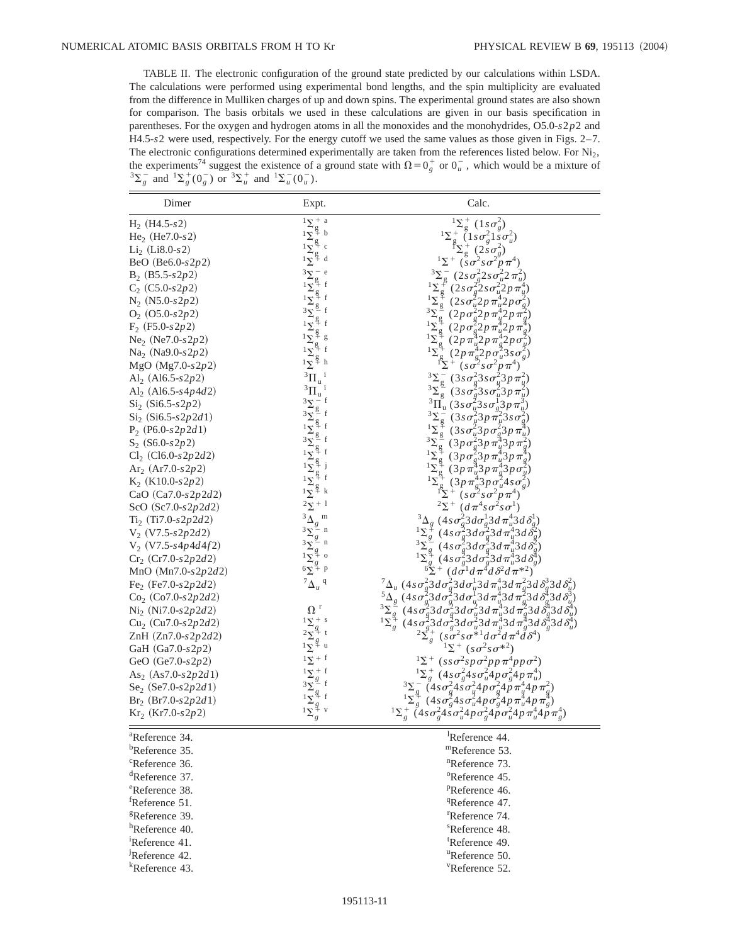TABLE II. The electronic configuration of the ground state predicted by our calculations within LSDA. The calculations were performed using experimental bond lengths, and the spin multiplicity are evaluated from the difference in Mulliken charges of up and down spins. The experimental ground states are also shown for comparison. The basis orbitals we used in these calculations are given in our basis specification in parentheses. For the oxygen and hydrogen atoms in all the monoxides and the monohydrides, O5.0-*s*2*p*2 and H4.5-*s*2 were used, respectively. For the energy cutoff we used the same values as those given in Figs. 2–7. The electronic configurations determined experimentally are taken from the references listed below. For Ni<sub>2</sub>, the experiments<sup>74</sup> suggest the existence of a ground state with  $\Omega = 0_g^+$  or  $0_u^-$ , which would be a mixture of  ${}^{3}\Sigma_{g}^{-}$  and  ${}^{1}\Sigma_{g}^{+}(0_{g}^{-})$  or  ${}^{3}\Sigma_{u}^{+}$  and  ${}^{1}\Sigma_{u}^{-}(0_{u}^{-})$ .

| Calc.<br>Dimer<br>Expt.                                                                                                                                                                                                                                                                                                                         |                                                            |
|-------------------------------------------------------------------------------------------------------------------------------------------------------------------------------------------------------------------------------------------------------------------------------------------------------------------------------------------------|------------------------------------------------------------|
| $\frac{1}{2}$ $\frac{1}{2}$ a<br>$\frac{1}{2}$ $\sum_{g}$<br>$(1s\sigma_o^2)$<br>$H_2$ (H4.5-s2)                                                                                                                                                                                                                                                |                                                            |
| $\frac{g}{+}$ b<br>$1\Sigma$<br>$(1s\sigma_g^2 1s\sigma_u^2)$<br>He <sub>2</sub> (He <sub>7.0-s2)</sub>                                                                                                                                                                                                                                         |                                                            |
| $\frac{g}{+}$ c<br>$\frac{1}{2}$<br>$Li_2$ (Li8.0-s2)<br>$(2s\sigma_{a}^{2})$                                                                                                                                                                                                                                                                   |                                                            |
| d<br>$1\Sigma^+$<br>$(\bar{s}\sigma^2 s\sigma)$<br>BeO (Be $6.0$ -s2p2)<br>$p \pi^4$                                                                                                                                                                                                                                                            |                                                            |
| $3\pi$<br>e<br>$(2s\sigma_a^2 2s\sigma$<br>$^3\Sigma$<br>$B_2$ (B5.5-s2p2)                                                                                                                                                                                                                                                                      |                                                            |
| $\frac{g}{+}$ f<br>$\frac{1}{2}$<br>$C_2$ (C5.0-s2p2)                                                                                                                                                                                                                                                                                           |                                                            |
| f<br>$\frac{1}{2}$<br>$N_2$ (N5.0-s2p2)<br>$(2s\sigma$                                                                                                                                                                                                                                                                                          |                                                            |
| f<br>$\frac{3\Sigma}{1\Sigma}$ s = $\frac{1}{2}$ s = $\frac{1}{2}$ s = $\frac{1}{2}$ s = $\frac{1}{2}$ s = $\frac{1}{2}$ s = $\frac{1}{2}$ s = $\frac{1}{2}$ s = $\frac{1}{2}$ s = $\frac{1}{2}$ s = $\frac{1}{2}$ s = $\frac{1}{2}$ s = $\frac{1}{2}$ s = $\frac{1}{2}$ s = $\frac{1}{2}$ s = $\frac{1}{2$<br>$O_2$ (O5.0-s2p2)<br>$(2p\sigma$ |                                                            |
| f<br>$F_2$ (F5.0-s2p2)                                                                                                                                                                                                                                                                                                                          |                                                            |
| $\frac{g}{+}$ g<br>$\frac{1}{2}$<br>Ne <sub>2</sub> (Ne7.0- $s2p2$ )                                                                                                                                                                                                                                                                            |                                                            |
| $\frac{g}{f}$ f<br>$\frac{1}{2}$<br>$Na2 (Na9.0-s2p2)$                                                                                                                                                                                                                                                                                          |                                                            |
| $\frac{g}{+}$ h<br>$\frac{1}{2}$<br>$MgO$ (Mg7.0-s2p2)<br>$(s\sigma^2 s\sigma)$                                                                                                                                                                                                                                                                 |                                                            |
| ${}^3\Pi_u$ <sup>i</sup><br>Al <sub>2</sub> (Al6.5-s2p2)<br>$(3s\sigma$<br>$3s\sigma$                                                                                                                                                                                                                                                           |                                                            |
| $^3\Pi_\mathrm{u}$<br>Al <sub>2</sub> (Al6.5-s4p4d2)<br>$(3s\sigma$<br>$3s\sigma$                                                                                                                                                                                                                                                               |                                                            |
| – f<br>$\sqrt[3]{2}$<br>${}^3\Pi_u$ (3so<br>$Si_2(Si6.5-s2p2)$<br>$3s\sigma$                                                                                                                                                                                                                                                                    |                                                            |
| $\frac{g}{f}$<br>$3\bar{y}$<br>$\frac{3}{1}$ $\sum_{\pi}$ $\frac{e}{4}$<br>$Si_2$ (Si6.5-s2p2d1)<br>$(3s\sigma_u^2)$<br>$3p\,\pi$                                                                                                                                                                                                               |                                                            |
| f<br>17<br>$^1\Sigma_{\underline{\bf g}}^+$<br>$P_2$ (P6.0-s2p2d1)<br>$(3s\sigma$                                                                                                                                                                                                                                                               |                                                            |
| f<br>$S_2$ (S6.0-s2p2)<br>$(3p\sigma$                                                                                                                                                                                                                                                                                                           |                                                            |
| f<br>$Cl_2$ (Cl6.0-s2p2d2)                                                                                                                                                                                                                                                                                                                      |                                                            |
| $3\sum_{1}^{8}\frac{g}{g}$<br>$1\sum_{1}^{8}\frac{g}{g}$<br>$\frac{g}{+}$ j<br>$\frac{1}{2}$<br>$Ar_2$ (Ar7.0-s2p2)                                                                                                                                                                                                                             |                                                            |
| $\frac{g}{+}$ $f$<br>$\frac{1}{2}$<br>$(3p\pi_{g}^{4}3p\sigma_{u}^{2})$<br>$K_2$ (K10.0-s2p2)                                                                                                                                                                                                                                                   |                                                            |
| $\frac{g}{+}$ k<br>$1\Sigma$<br>$(s\sigma^2 s\sigma^2 p\pi$<br>CaO $(Ca7.0-s2p2d2)$                                                                                                                                                                                                                                                             |                                                            |
| $2\Sigma + 1$<br>$2\Sigma^+$<br>$(d\pi^4s\sigma^2s\sigma^1)$<br>ScO $(Sc7.0-s2p2d2)$                                                                                                                                                                                                                                                            |                                                            |
| m<br>$3\Delta$<br>$(4s\sigma_o^2 3d\sigma_o^1)$<br>$\sqrt[3]{\Delta_g}$<br>$.3d\pi$<br>$Ti_2$ (Ti7.0-s2p2d2)                                                                                                                                                                                                                                    | $3d\delta_a^{\rm I}$                                       |
| $\stackrel{g}{=}$ n<br>$\sqrt[3]{2}$<br>$\frac{1}{2}$<br>$\frac{2}{a}$ 3d $\pi$<br>$V_2$ (V7.5-s2p2d2)                                                                                                                                                                                                                                          |                                                            |
| $\stackrel{g}{=}$ n<br>$\sqrt[3]{2}$<br>$V_2$ (V7.5-s4p4d4f2)                                                                                                                                                                                                                                                                                   |                                                            |
| $(4s\sigma_g^23d\sigma_g^23d\pi$<br>$(4s\sigma^23d\sigma^23d\pi)$<br>$rac{g}{+}$ 0<br>$\frac{1}{2}$<br>$\begin{array}{c}\n a_1 \Delta d \delta \\ a_2 \Delta d \sigma_g^2 3 d \pi_4^4 3 d \delta \\ (d \sigma^1 d \pi^4 d \delta^2\n\end{array}$<br>$Cr_2$ (Cr7.0-s2p2d2)<br>$(4s\sigma$                                                        |                                                            |
| $\stackrel{\textstyle \sim}{\phantom{}_{\textstyle \sim}} g_+$ p<br>MnO $(Mn7.0-s2p2d2)$                                                                                                                                                                                                                                                        |                                                            |
| ${}^7\Delta_u$ q<br>$\int \Delta_u (4s \sigma_g^2 3 d\sigma)$<br>Fe <sub>2</sub> (Fe7.0-s2p2d2)                                                                                                                                                                                                                                                 | $3d\delta_o^33d\delta_u^2$                                 |
| ${}^5\Delta_g$ (4s $\sigma_g^2$ 3do<br>$Co_2$ (Co7.0-s2p2d2)<br>$3d\,\pi$                                                                                                                                                                                                                                                                       | $\partial_{\rho}^{2}3d\delta_{\rho}^{4}3d\delta_{\mu}^{3}$ |
| $\Omega$ r<br>$\sqrt[3]{2}$<br>$(4s\sigma_{\varrho}^2 3d\sigma)$<br>$3d\pi_a^2$<br>$Ni2 (Ni7.0-s2p2d2)$                                                                                                                                                                                                                                         | $3d\delta_{\varphi}^43d\delta_{\vartheta}^4$               |
| $\frac{3\Sigma_{g}^{0}}{1\Sigma_{g}^{0}}$<br>$\frac{1}{2}$ $\frac{1}{2}$ s<br>$3d\sigma_u^23d\pi_u^43d\pi_g^43d\delta_e^43d\delta_u^4)$<br>$(4s\sigma_{\varrho}^2)$<br>$3d\sigma$<br>$Cu2$ (Cu7.0-s2p2d2)                                                                                                                                       |                                                            |
| $\frac{g}{+}$ t<br>$2\Sigma$<br>$(s\sigma^2 s\sigma^{*1} d\sigma^2 d\pi^4 d\delta^4)$<br>ZnH $(Zn7.0-s2p2d2)$                                                                                                                                                                                                                                   |                                                            |
| $\stackrel{g}{+}$ u<br>$\frac{1}{2}$<br>$1\Sigma^+$ (so <sup>2</sup> so <sup>*2</sup> )<br>GaH $(Ga7.0-s2p2)$                                                                                                                                                                                                                                   |                                                            |
| $1\overline{y}$<br>$+$ f<br>$1\overline{\Sigma}$ <sup>+</sup><br>$(s s \sigma^2 s p \sigma^2 p p \pi^4 p p \sigma^2)$<br>GeO $(Ge7.0-s2p2)$                                                                                                                                                                                                     |                                                            |
| $+ f$<br>$1\overline{v}$<br>$^{1}\Sigma_{g}^{+}$<br>$(4s\sigma_g^2 4s\sigma_u^2 4p\sigma_g^2 4p\pi_u^4)$<br>As <sub>2</sub> (As7.0-s2p2d1)                                                                                                                                                                                                      |                                                            |
| $\stackrel{g}{-}$ $_{\rm f}$<br>$\sqrt[3]{2}$<br>$\sqrt[3]{2}$<br>$Se_2$ (Se7.0-s2p2d1)                                                                                                                                                                                                                                                         |                                                            |
| $(4s\sigma_g^2 4s\sigma_u^2 4p\sigma_g^2 4p\pi_u^4 4p\pi_g^2)$<br>( $4s\sigma_g^2 4s\sigma_u^2 4p\sigma_g^2 4p\pi_u^4 4p\pi_g^2)$<br>g.<br>f<br>$\frac{1}{2}$<br>$Br_2$ (Br7.0-s2p2d1)                                                                                                                                                          |                                                            |
| $\frac{g}{4}$<br>$\frac{1}{2}$<br>$(4s\sigma_g^24s\sigma_u^24p\sigma_g^24p\sigma_u^24p\pi_u^44p\pi_g^4)$<br>$\mathbf v$<br>$^{1}\Sigma_{g}^{+}$<br>$Kr_2$ (Kr7.0-s2p2)                                                                                                                                                                          |                                                            |
| <sup>1</sup> Reference 44.<br><sup>a</sup> Reference 34.                                                                                                                                                                                                                                                                                        |                                                            |
| <sup>b</sup> Reference 35.<br><sup>m</sup> Reference 53.                                                                                                                                                                                                                                                                                        |                                                            |
| <sup>c</sup> Reference 36.<br><sup>n</sup> Reference 73.                                                                                                                                                                                                                                                                                        |                                                            |
| <sup>d</sup> Reference 37.<br><sup>o</sup> Reference 45.                                                                                                                                                                                                                                                                                        |                                                            |
| <sup>e</sup> Reference 38.<br><sup>P</sup> Reference 46.                                                                                                                                                                                                                                                                                        |                                                            |
| <sup>f</sup> Reference 51.<br><sup>q</sup> Reference 47.                                                                                                                                                                                                                                                                                        |                                                            |
| <sup>g</sup> Reference 39.<br><sup>r</sup> Reference 74.                                                                                                                                                                                                                                                                                        |                                                            |
| hReference 40.<br><sup>s</sup> Reference 48.                                                                                                                                                                                                                                                                                                    |                                                            |
| <sup>1</sup> Reference 41.<br><sup>t</sup> Reference 49.                                                                                                                                                                                                                                                                                        |                                                            |
| <sup>J</sup> Reference 42.<br>"Reference 50.                                                                                                                                                                                                                                                                                                    |                                                            |

k Reference 43.

195113-11

v Reference 52.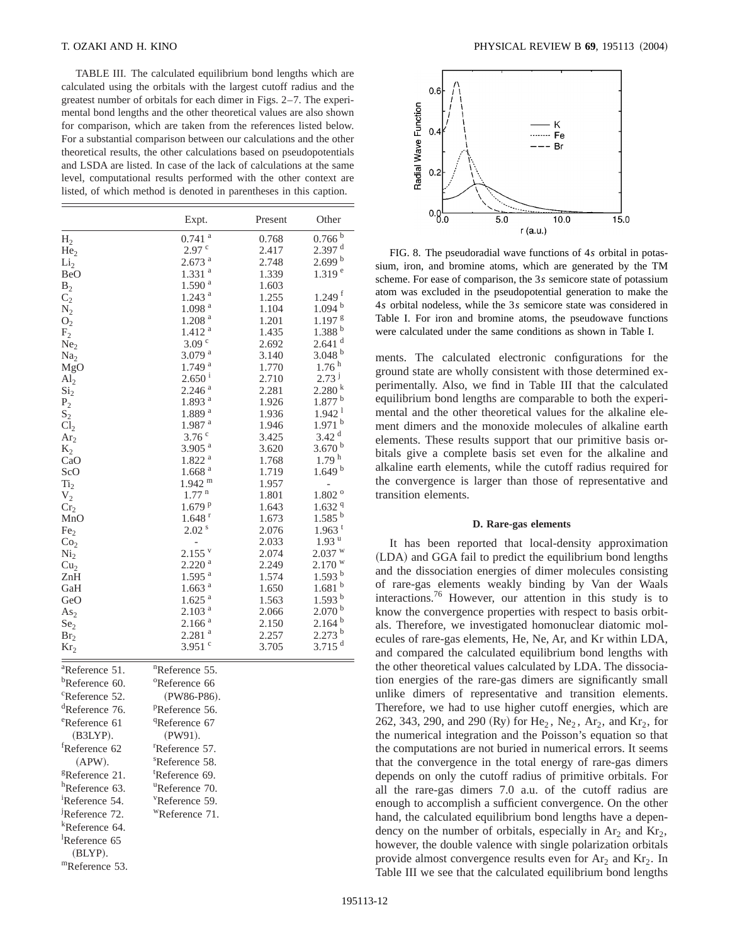TABLE III. The calculated equilibrium bond lengths which are calculated using the orbitals with the largest cutoff radius and the greatest number of orbitals for each dimer in Figs. 2–7. The experimental bond lengths and the other theoretical values are also shown for comparison, which are taken from the references listed below. For a substantial comparison between our calculations and the other theoretical results, the other calculations based on pseudopotentials and LSDA are listed. In case of the lack of calculations at the same level, computational results performed with the other context are listed, of which method is denoted in parentheses in this caption.

|                                    | Expt.                                      | Present        | Other                         |
|------------------------------------|--------------------------------------------|----------------|-------------------------------|
| H <sub>2</sub>                     | $0.741$ <sup>a</sup>                       | 0.768          | $0.766^{b}$                   |
| He <sub>2</sub>                    | 2.97 <sup>c</sup>                          | 2.417          | $2.397$ <sup>d</sup>          |
| Li <sub>2</sub>                    | $2.673$ <sup>a</sup>                       | 2.748          | 2.699 <sup>b</sup>            |
| <b>BeO</b>                         | $1.331$ <sup>a</sup>                       | 1.339          | 1.319 e                       |
| $B_2$                              | 1.590 <sup>a</sup>                         | 1.603          |                               |
| $C_2$                              | $1.243$ <sup>a</sup>                       | 1.255          | $1.249$ <sup>f</sup>          |
| $N_2$                              | $1.098$ <sup>a</sup>                       | 1.104          | 1.094 <sup>b</sup>            |
| O <sub>2</sub>                     | 1.208 <sup>a</sup>                         | 1.201          | 1.197 <sup>g</sup>            |
| F <sub>2</sub>                     | 1.412 <sup>a</sup>                         | 1.435          | 1.388 <sup>b</sup>            |
| Ne <sub>2</sub>                    | 3.09 <sup>c</sup>                          | 2.692          | $2.641$ <sup>d</sup>          |
| Na <sub>2</sub>                    | $3.079$ <sup>a</sup>                       | 3.140          | 3.048 <sup>b</sup>            |
| MgO                                | $1.749$ <sup>a</sup>                       | 1.770          | 1.76 <sup>h</sup>             |
| $\mathrm{Al}_2$                    | $2.650^{\text{ i}}$                        | 2.710          | $2.73^{j}$                    |
| Si <sub>2</sub>                    | 2.246 <sup>a</sup>                         | 2.281          | 2.280 <sup>k</sup>            |
| $P_2$                              | $1.893$ <sup>a</sup>                       | 1.926          | 1.877 h                       |
| $S_2$                              | 1.889 <sup>a</sup>                         | 1.936          | 1.942 <sup>1</sup>            |
| Cl <sub>2</sub>                    | $1.987$ <sup>a</sup>                       | 1.946          | $1.971h{~}$                   |
| Ar <sub>2</sub>                    | $3.76$ $\degree$                           | 3.425          | 3.42 <sup>d</sup>             |
| $K_2$                              | $3.905$ <sup>a</sup>                       | 3.620          | 3.670 <sup>b</sup>            |
| CaO                                | $1.822$ <sup>a</sup>                       | 1.768          | 1.79 <sup>h</sup>             |
| ScO                                | $1.668$ $^{\rm a}$                         | 1.719          | 1.649 <sup>b</sup>            |
| Ti <sub>2</sub>                    | $1.942 \text{ m}$                          | 1.957          | $\qquad \qquad -$             |
| $V_2$                              | $1.77$ $^{\rm n}$                          | 1.801          | $1.802$ $^{\rm o}$            |
| Cr <sub>2</sub>                    | 1.679P                                     | 1.643          | 1.632 <sup>q</sup>            |
| MnO                                | $1.648$ <sup>r</sup>                       | 1.673          | 1.585 <sup>b</sup>            |
| Fe <sub>2</sub>                    | 2.02 <sup>s</sup>                          | 2.076          | $1.963$ <sup>t</sup>          |
| Co <sub>2</sub>                    | $\overline{\phantom{a}}$                   | 2.033          | $1.93$ $^{\rm u}$             |
| Ni <sub>2</sub>                    | 2.155 <sup>v</sup>                         | 2.074          | 2.037 w                       |
| Cu <sub>2</sub>                    | 2.220 <sup>a</sup>                         | 2.249          | 2.170 w                       |
| ZnH                                | $1.595$ <sup>a</sup>                       | 1.574          | 1.593 <sup>b</sup>            |
| GaH                                | 1.663 <sup>a</sup>                         | 1.650          | 1.681hb<br>1.593 <sup>b</sup> |
| GeO                                | $1.625$ <sup>a</sup><br>2.103 <sup>a</sup> | 1.563          | 2.070 <sup>b</sup>            |
| As <sub>2</sub>                    | 2.166 <sup>a</sup>                         | 2.066          | $2.164^{b}$                   |
| Se <sub>2</sub><br>Br <sub>2</sub> | $2.281$ <sup>a</sup>                       | 2.150<br>2.257 | 2.273 <sup>b</sup>            |
| Kr <sub>2</sub>                    | $3.951$ $^{\circ}$                         | 3.705          | $3.715$ <sup>d</sup>          |
|                                    |                                            |                |                               |
| <sup>a</sup> Reference 51.         | <sup>n</sup> Reference 55.                 |                |                               |
| <sup>b</sup> Reference 60.         | <sup>o</sup> Reference 66                  |                |                               |
| <sup>c</sup> Reference 52.         | (PW86-P86).                                |                |                               |
| <sup>d</sup> Reference 76.         | <sup>P</sup> Reference 56.                 |                |                               |
| <sup>e</sup> Reference 61          | <sup>q</sup> Reference 67                  |                |                               |
| (B3LYP).                           | $(PW91)$ .                                 |                |                               |
| <sup>f</sup> Reference 62          | <sup>r</sup> Reference 57.                 |                |                               |
| $(APW)$ .                          | <sup>s</sup> Reference 58.                 |                |                               |
|                                    |                                            |                |                               |
| <sup>g</sup> Reference 21.         | <sup>t</sup> Reference 69.                 |                |                               |
| <sup>h</sup> Reference 63.         | <sup>u</sup> Reference 70.                 |                |                               |
| <sup>1</sup> Reference 54.         | <sup>v</sup> Reference 59.                 |                |                               |
| <sup>J</sup> Reference 72.         | <sup>w</sup> Reference 71.                 |                |                               |
| <sup>k</sup> Reference 64.         |                                            |                |                               |
| <sup>1</sup> Reference 65          |                                            |                |                               |

 $(RIYP)$ . mReference 53.



FIG. 8. The pseudoradial wave functions of 4*s* orbital in potassium, iron, and bromine atoms, which are generated by the TM scheme. For ease of comparison, the 3*s* semicore state of potassium atom was excluded in the pseudopotential generation to make the 4*s* orbital nodeless, while the 3*s* semicore state was considered in Table I. For iron and bromine atoms, the pseudowave functions were calculated under the same conditions as shown in Table I.

ments. The calculated electronic configurations for the ground state are wholly consistent with those determined experimentally. Also, we find in Table III that the calculated equilibrium bond lengths are comparable to both the experimental and the other theoretical values for the alkaline element dimers and the monoxide molecules of alkaline earth elements. These results support that our primitive basis orbitals give a complete basis set even for the alkaline and alkaline earth elements, while the cutoff radius required for the convergence is larger than those of representative and transition elements.

#### **D. Rare-gas elements**

It has been reported that local-density approximation (LDA) and GGA fail to predict the equilibrium bond lengths and the dissociation energies of dimer molecules consisting of rare-gas elements weakly binding by Van der Waals interactions.76 However, our attention in this study is to know the convergence properties with respect to basis orbitals. Therefore, we investigated homonuclear diatomic molecules of rare-gas elements, He, Ne, Ar, and Kr within LDA, and compared the calculated equilibrium bond lengths with the other theoretical values calculated by LDA. The dissociation energies of the rare-gas dimers are significantly small unlike dimers of representative and transition elements. Therefore, we had to use higher cutoff energies, which are 262, 343, 290, and 290 (Ry) for  $He_2$ , Ne<sub>2</sub>, Ar<sub>2</sub>, and Kr<sub>2</sub>, for the numerical integration and the Poisson's equation so that the computations are not buried in numerical errors. It seems that the convergence in the total energy of rare-gas dimers depends on only the cutoff radius of primitive orbitals. For all the rare-gas dimers 7.0 a.u. of the cutoff radius are enough to accomplish a sufficient convergence. On the other hand, the calculated equilibrium bond lengths have a dependency on the number of orbitals, especially in  $Ar_2$  and  $Kr_2$ , however, the double valence with single polarization orbitals provide almost convergence results even for  $Ar_2$  and  $Kr_2$ . In Table III we see that the calculated equilibrium bond lengths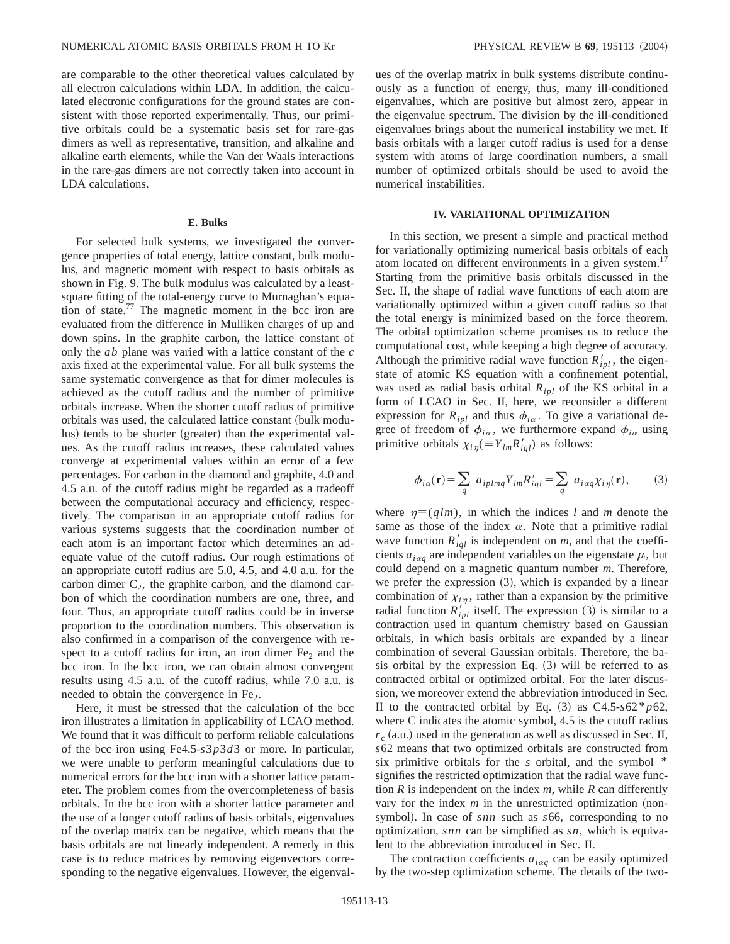are comparable to the other theoretical values calculated by all electron calculations within LDA. In addition, the calculated electronic configurations for the ground states are consistent with those reported experimentally. Thus, our primitive orbitals could be a systematic basis set for rare-gas dimers as well as representative, transition, and alkaline and alkaline earth elements, while the Van der Waals interactions in the rare-gas dimers are not correctly taken into account in LDA calculations.

#### **E. Bulks**

For selected bulk systems, we investigated the convergence properties of total energy, lattice constant, bulk modulus, and magnetic moment with respect to basis orbitals as shown in Fig. 9. The bulk modulus was calculated by a leastsquare fitting of the total-energy curve to Murnaghan's equation of state.<sup>77</sup> The magnetic moment in the bcc iron are evaluated from the difference in Mulliken charges of up and down spins. In the graphite carbon, the lattice constant of only the *ab* plane was varied with a lattice constant of the *c* axis fixed at the experimental value. For all bulk systems the same systematic convergence as that for dimer molecules is achieved as the cutoff radius and the number of primitive orbitals increase. When the shorter cutoff radius of primitive orbitals was used, the calculated lattice constant (bulk modulus) tends to be shorter (greater) than the experimental values. As the cutoff radius increases, these calculated values converge at experimental values within an error of a few percentages. For carbon in the diamond and graphite, 4.0 and 4.5 a.u. of the cutoff radius might be regarded as a tradeoff between the computational accuracy and efficiency, respectively. The comparison in an appropriate cutoff radius for various systems suggests that the coordination number of each atom is an important factor which determines an adequate value of the cutoff radius. Our rough estimations of an appropriate cutoff radius are 5.0, 4.5, and 4.0 a.u. for the carbon dimer  $C_2$ , the graphite carbon, and the diamond carbon of which the coordination numbers are one, three, and four. Thus, an appropriate cutoff radius could be in inverse proportion to the coordination numbers. This observation is also confirmed in a comparison of the convergence with respect to a cutoff radius for iron, an iron dimer  $Fe<sub>2</sub>$  and the bcc iron. In the bcc iron, we can obtain almost convergent results using 4.5 a.u. of the cutoff radius, while 7.0 a.u. is needed to obtain the convergence in  $Fe<sub>2</sub>$ .

Here, it must be stressed that the calculation of the bcc iron illustrates a limitation in applicability of LCAO method. We found that it was difficult to perform reliable calculations of the bcc iron using Fe4.5-*s*3*p*3*d*3 or more. In particular, we were unable to perform meaningful calculations due to numerical errors for the bcc iron with a shorter lattice parameter. The problem comes from the overcompleteness of basis orbitals. In the bcc iron with a shorter lattice parameter and the use of a longer cutoff radius of basis orbitals, eigenvalues of the overlap matrix can be negative, which means that the basis orbitals are not linearly independent. A remedy in this case is to reduce matrices by removing eigenvectors corresponding to the negative eigenvalues. However, the eigenvalues of the overlap matrix in bulk systems distribute continuously as a function of energy, thus, many ill-conditioned eigenvalues, which are positive but almost zero, appear in the eigenvalue spectrum. The division by the ill-conditioned eigenvalues brings about the numerical instability we met. If basis orbitals with a larger cutoff radius is used for a dense system with atoms of large coordination numbers, a small number of optimized orbitals should be used to avoid the numerical instabilities.

# **IV. VARIATIONAL OPTIMIZATION**

In this section, we present a simple and practical method for variationally optimizing numerical basis orbitals of each atom located on different environments in a given system.<sup>17</sup> Starting from the primitive basis orbitals discussed in the Sec. II, the shape of radial wave functions of each atom are variationally optimized within a given cutoff radius so that the total energy is minimized based on the force theorem. The orbital optimization scheme promises us to reduce the computational cost, while keeping a high degree of accuracy. Although the primitive radial wave function  $R'_{\text{ipl}}$ , the eigenstate of atomic KS equation with a confinement potential, was used as radial basis orbital *Ripl* of the KS orbital in a form of LCAO in Sec. II, here, we reconsider a different expression for  $R_{ipl}$  and thus  $\phi_{i\alpha}$ . To give a variational degree of freedom of  $\phi_{i\alpha}$ , we furthermore expand  $\phi_{i\alpha}$  using primitive orbitals  $\chi_{i\eta}(\equiv Y_{lm}R'_{iql})$  as follows:

$$
\phi_{i\alpha}(\mathbf{r}) = \sum_{q} a_{iplmq} Y_{lm} R'_{iql} = \sum_{q} a_{i\alpha q} \chi_{i\eta}(\mathbf{r}), \qquad (3)
$$

where  $\eta \equiv (q/m)$ , in which the indices *l* and *m* denote the same as those of the index  $\alpha$ . Note that a primitive radial wave function  $R'_{iql}$  is independent on *m*, and that the coefficients  $a_{i\alpha q}$  are independent variables on the eigenstate  $\mu$ , but could depend on a magnetic quantum number *m*. Therefore, we prefer the expression  $(3)$ , which is expanded by a linear combination of  $\chi_{in}$ , rather than a expansion by the primitive radial function  $R'_{ipl}$  itself. The expression (3) is similar to a contraction used in quantum chemistry based on Gaussian orbitals, in which basis orbitals are expanded by a linear combination of several Gaussian orbitals. Therefore, the basis orbital by the expression Eq.  $(3)$  will be referred to as contracted orbital or optimized orbital. For the later discussion, we moreover extend the abbreviation introduced in Sec. II to the contracted orbital by Eq.  $(3)$  as C4.5-*s*62\**p*62, where C indicates the atomic symbol, 4.5 is the cutoff radius  $r_c$  (a.u.) used in the generation as well as discussed in Sec. II, *s*62 means that two optimized orbitals are constructed from six primitive orbitals for the *s* orbital, and the symbol \* signifies the restricted optimization that the radial wave function *R* is independent on the index *m*, while *R* can differently vary for the index  $m$  in the unrestricted optimization (nonsymbol). In case of *snn* such as *s*66, corresponding to no optimization, *snn* can be simplified as *sn*, which is equivalent to the abbreviation introduced in Sec. II.

The contraction coefficients  $a_{i\alpha q}$  can be easily optimized by the two-step optimization scheme. The details of the two-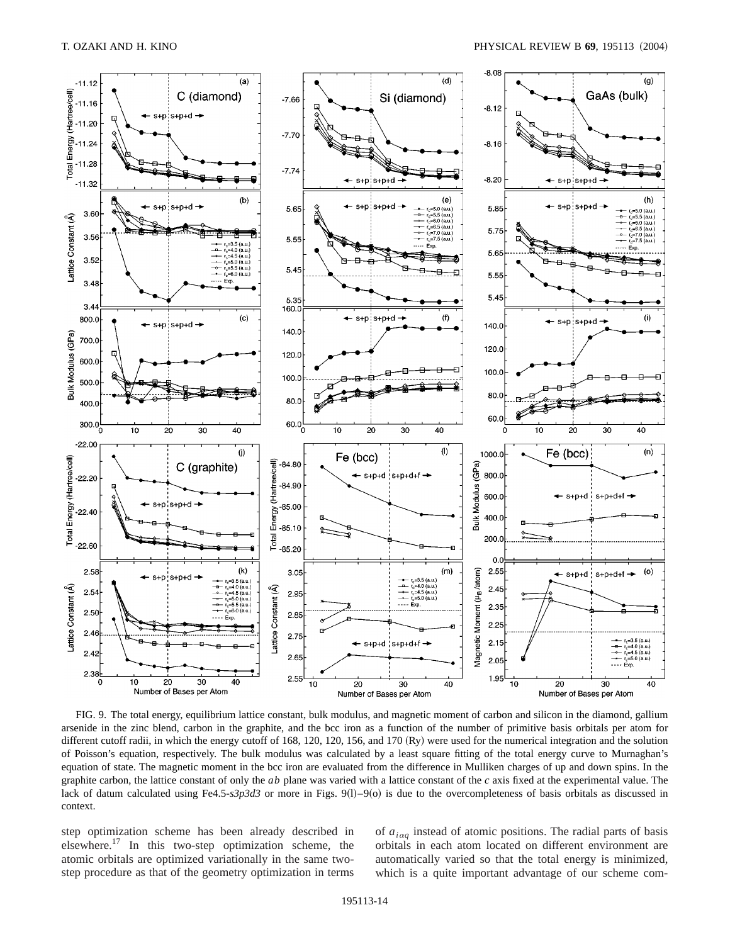

FIG. 9. The total energy, equilibrium lattice constant, bulk modulus, and magnetic moment of carbon and silicon in the diamond, gallium arsenide in the zinc blend, carbon in the graphite, and the bcc iron as a function of the number of primitive basis orbitals per atom for different cutoff radii, in which the energy cutoff of 168, 120, 120, 156, and 170  $(Ry)$  were used for the numerical integration and the solution of Poisson's equation, respectively. The bulk modulus was calculated by a least square fitting of the total energy curve to Murnaghan's equation of state. The magnetic moment in the bcc iron are evaluated from the difference in Mulliken charges of up and down spins. In the graphite carbon, the lattice constant of only the *ab* plane was varied with a lattice constant of the *c* axis fixed at the experimental value. The lack of datum calculated using Fe4.5- $s3p3d3$  or more in Figs.  $9(1)-9(0)$  is due to the overcompleteness of basis orbitals as discussed in context.

step optimization scheme has been already described in elsewhere. $17$  In this two-step optimization scheme, the atomic orbitals are optimized variationally in the same twostep procedure as that of the geometry optimization in terms of *ai*a*<sup>q</sup>* instead of atomic positions. The radial parts of basis orbitals in each atom located on different environment are automatically varied so that the total energy is minimized, which is a quite important advantage of our scheme com-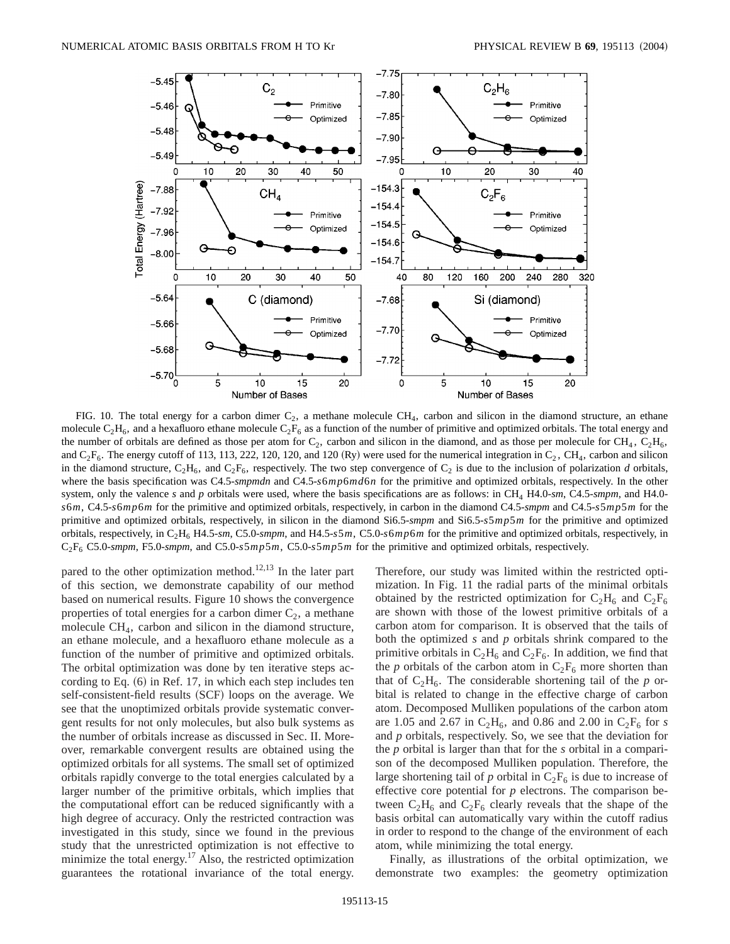

FIG. 10. The total energy for a carbon dimer  $C_2$ , a methane molecule CH<sub>4</sub>, carbon and silicon in the diamond structure, an ethane molecule  $C_2H_6$ , and a hexafluoro ethane molecule  $C_2F_6$  as a function of the number of primitive and optimized orbitals. The total energy and the number of orbitals are defined as those per atom for  $C_2$ , carbon and silicon in the diamond, and as those per molecule for  $CH_4$ ,  $C_2H_6$ , and  $C_2F_6$ . The energy cutoff of 113, 113, 222, 120, 120, and 120 (Ry) were used for the numerical integration in  $C_2$ , CH<sub>4</sub>, carbon and silicon in the diamond structure,  $C_2H_6$ , and  $C_2F_6$ , respectively. The two step convergence of  $C_2$  is due to the inclusion of polarization *d* orbitals, where the basis specification was C4.5-*smpmdn* and C4.5-*s*6*mp*6*md*6*n* for the primitive and optimized orbitals, respectively. In the other system, only the valence *s* and *p* orbitals were used, where the basis specifications are as follows: in CH<sub>4</sub> H4.0-*sm*, C4.5-*smpm*, and H4.0*s*6*m*, C4.5-*s*6*mp*6*m* for the primitive and optimized orbitals, respectively, in carbon in the diamond C4.5-*smpm* and C4.5-*s*5*mp*5*m* for the primitive and optimized orbitals, respectively, in silicon in the diamond Si6.5-*smpm* and Si6.5-*s*5*mp*5*m* for the primitive and optimized orbitals, respectively, in C2H6 H4.5-*sm*, C5.0-*smpm*, and H4.5-*s*5*m*, C5.0-*s*6*mp*6*m* for the primitive and optimized orbitals, respectively, in C2F6 C5.0-*smpm*, F5.0-*smpm*, and C5.0-*s*5*mp*5*m*, C5.0-*s*5*mp*5*m* for the primitive and optimized orbitals, respectively.

pared to the other optimization method.<sup>12,13</sup> In the later part of this section, we demonstrate capability of our method based on numerical results. Figure 10 shows the convergence properties of total energies for a carbon dimer  $C_2$ , a methane molecule CH4, carbon and silicon in the diamond structure, an ethane molecule, and a hexafluoro ethane molecule as a function of the number of primitive and optimized orbitals. The orbital optimization was done by ten iterative steps according to Eq.  $(6)$  in Ref. 17, in which each step includes ten self-consistent-field results (SCF) loops on the average. We see that the unoptimized orbitals provide systematic convergent results for not only molecules, but also bulk systems as the number of orbitals increase as discussed in Sec. II. Moreover, remarkable convergent results are obtained using the optimized orbitals for all systems. The small set of optimized orbitals rapidly converge to the total energies calculated by a larger number of the primitive orbitals, which implies that the computational effort can be reduced significantly with a high degree of accuracy. Only the restricted contraction was investigated in this study, since we found in the previous study that the unrestricted optimization is not effective to minimize the total energy. $17$  Also, the restricted optimization guarantees the rotational invariance of the total energy.

Therefore, our study was limited within the restricted optimization. In Fig. 11 the radial parts of the minimal orbitals obtained by the restricted optimization for  $C_2H_6$  and  $C_2F_6$ are shown with those of the lowest primitive orbitals of a carbon atom for comparison. It is observed that the tails of both the optimized *s* and *p* orbitals shrink compared to the primitive orbitals in  $C_2H_6$  and  $C_2F_6$ . In addition, we find that the *p* orbitals of the carbon atom in  $C_2F_6$  more shorten than that of  $C_2H_6$ . The considerable shortening tail of the *p* orbital is related to change in the effective charge of carbon atom. Decomposed Mulliken populations of the carbon atom are 1.05 and 2.67 in  $C_2H_6$ , and 0.86 and 2.00 in  $C_2F_6$  for *s* and *p* orbitals, respectively. So, we see that the deviation for the *p* orbital is larger than that for the *s* orbital in a comparison of the decomposed Mulliken population. Therefore, the large shortening tail of  $p$  orbital in  $C_2F_6$  is due to increase of effective core potential for *p* electrons. The comparison between  $C_2H_6$  and  $C_2F_6$  clearly reveals that the shape of the basis orbital can automatically vary within the cutoff radius in order to respond to the change of the environment of each atom, while minimizing the total energy.

Finally, as illustrations of the orbital optimization, we demonstrate two examples: the geometry optimization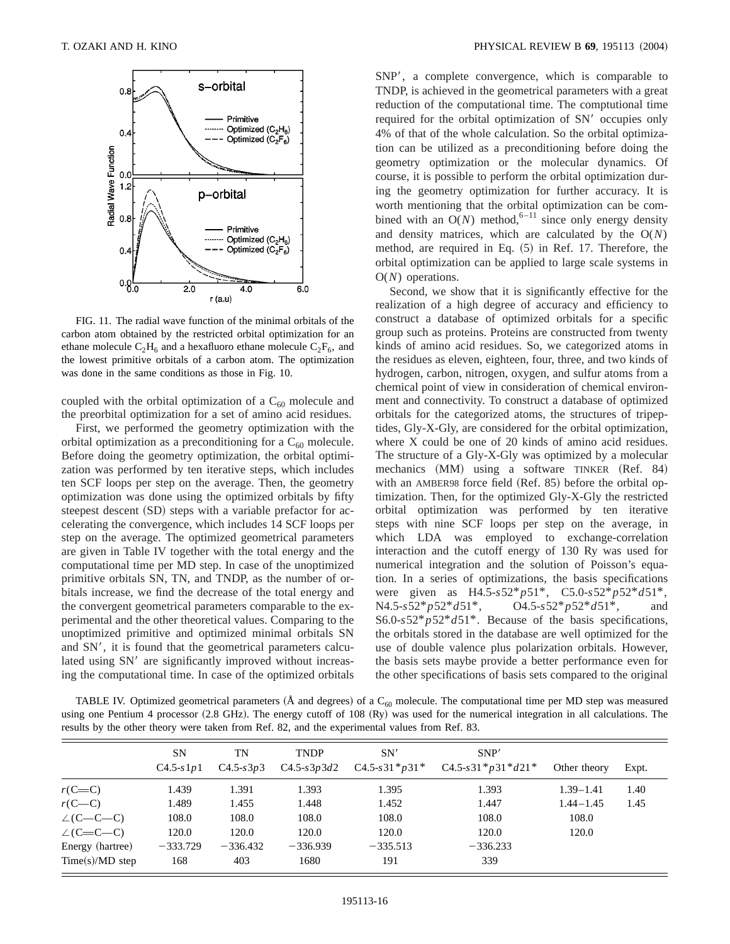

FIG. 11. The radial wave function of the minimal orbitals of the carbon atom obtained by the restricted orbital optimization for an ethane molecule  $C_2H_6$  and a hexafluoro ethane molecule  $C_2F_6$ , and the lowest primitive orbitals of a carbon atom. The optimization was done in the same conditions as those in Fig. 10.

coupled with the orbital optimization of a  $C_{60}$  molecule and the preorbital optimization for a set of amino acid residues.

First, we performed the geometry optimization with the orbital optimization as a preconditioning for a  $C_{60}$  molecule. Before doing the geometry optimization, the orbital optimization was performed by ten iterative steps, which includes ten SCF loops per step on the average. Then, the geometry optimization was done using the optimized orbitals by fifty steepest descent (SD) steps with a variable prefactor for accelerating the convergence, which includes 14 SCF loops per step on the average. The optimized geometrical parameters are given in Table IV together with the total energy and the computational time per MD step. In case of the unoptimized primitive orbitals SN, TN, and TNDP, as the number of orbitals increase, we find the decrease of the total energy and the convergent geometrical parameters comparable to the experimental and the other theoretical values. Comparing to the unoptimized primitive and optimized minimal orbitals SN and SN', it is found that the geometrical parameters calculated using SN' are significantly improved without increasing the computational time. In case of the optimized orbitals SNP', a complete convergence, which is comparable to TNDP, is achieved in the geometrical parameters with a great reduction of the computational time. The comptutional time required for the orbital optimization of SN<sup>'</sup> occupies only 4% of that of the whole calculation. So the orbital optimization can be utilized as a preconditioning before doing the geometry optimization or the molecular dynamics. Of course, it is possible to perform the orbital optimization during the geometry optimization for further accuracy. It is worth mentioning that the orbital optimization can be combined with an  $O(N)$  method,<sup>6–11</sup> since only energy density and density matrices, which are calculated by the O(*N*) method, are required in Eq.  $(5)$  in Ref. 17. Therefore, the orbital optimization can be applied to large scale systems in O(*N*) operations.

Second, we show that it is significantly effective for the realization of a high degree of accuracy and efficiency to construct a database of optimized orbitals for a specific group such as proteins. Proteins are constructed from twenty kinds of amino acid residues. So, we categorized atoms in the residues as eleven, eighteen, four, three, and two kinds of hydrogen, carbon, nitrogen, oxygen, and sulfur atoms from a chemical point of view in consideration of chemical environment and connectivity. To construct a database of optimized orbitals for the categorized atoms, the structures of tripeptides, Gly-X-Gly, are considered for the orbital optimization, where X could be one of 20 kinds of amino acid residues. The structure of a Gly-X-Gly was optimized by a molecular mechanics  $(MM)$  using a software TINKER  $(Ref. 84)$ with an AMBER98 force field (Ref. 85) before the orbital optimization. Then, for the optimized Gly-X-Gly the restricted orbital optimization was performed by ten iterative steps with nine SCF loops per step on the average, in which LDA was employed to exchange-correlation interaction and the cutoff energy of 130 Ry was used for numerical integration and the solution of Poisson's equation. In a series of optimizations, the basis specifications were given as H4.5-*s*52\**p*51\*, C5.0-*s*52\**p*52\**d*51\*, N4.5-*s*52\**p*52\**d*51\*, O4.5-*s*52\**p*52\**d*51\*, and S6.0-*s*52\**p*52\**d*51\*. Because of the basis specifications, the orbitals stored in the database are well optimized for the use of double valence plus polarization orbitals. However, the basis sets maybe provide a better performance even for the other specifications of basis sets compared to the original

TABLE IV. Optimized geometrical parameters ( $\AA$  and degrees) of a C<sub>60</sub> molecule. The computational time per MD step was measured using one Pentium 4 processor (2.8 GHz). The energy cutoff of 108 (Ry) was used for the numerical integration in all calculations. The results by the other theory were taken from Ref. 82, and the experimental values from Ref. 83.

|                   | <b>SN</b><br>$C4.5-s1p1$ | TN<br>$C4.5 - s3p3$ | <b>TNDP</b><br>$C4.5 - s3p3d2$ | SN'<br>$C4.5-s31 * p31 *$ | SNP'<br>C4.5-s31*p31*d21* | Other theory  | Expt. |
|-------------------|--------------------------|---------------------|--------------------------------|---------------------------|---------------------------|---------------|-------|
| $r(C=C)$          | 1.439                    | 1.391               | 1.393                          | 1.395                     | 1.393                     | $1.39 - 1.41$ | 1.40  |
| $r(C-C)$          | 1.489                    | 1.455               | 1.448                          | 1.452                     | 1.447                     | $1.44 - 1.45$ | 1.45  |
| $\angle$ (C—C—C)  | 108.0                    | 108.0               | 108.0                          | 108.0                     | 108.0                     | 108.0         |       |
| $\angle$ (C=C-C)  | 120.0                    | 120.0               | 120.0                          | 120.0                     | 120.0                     | 120.0         |       |
| Energy (hartree)  | $-333.729$               | $-336.432$          | $-336.939$                     | $-335.513$                | $-336.233$                |               |       |
| $Time(s)/MD$ step | 168                      | 403                 | 1680                           | 191                       | 339                       |               |       |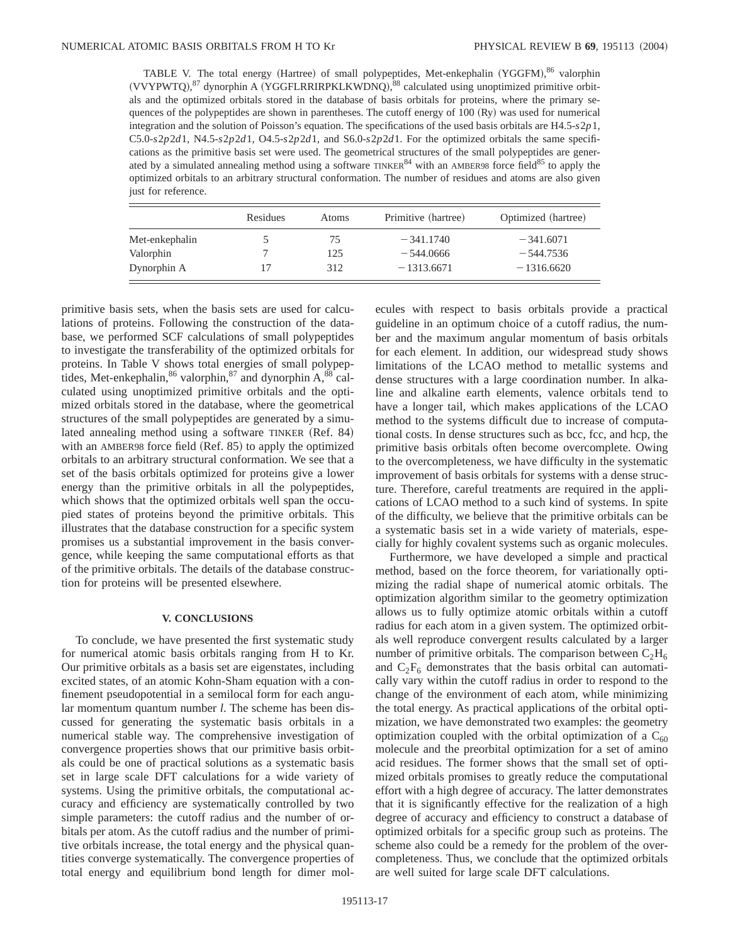TABLE V. The total energy (Hartree) of small polypeptides, Met-enkephalin (YGGFM), 86 valorphin  $(VVYPWTO),$ <sup>87</sup> dynorphin A (YGGFLRRIRPKLKWDNQ),  $^{88}$  calculated using unoptimized primitive orbitals and the optimized orbitals stored in the database of basis orbitals for proteins, where the primary sequences of the polypeptides are shown in parentheses. The cutoff energy of  $100$   $(Ry)$  was used for numerical integration and the solution of Poisson's equation. The specifications of the used basis orbitals are H4.5-*s*2*p*1, C5.0- $s2p2d1$ , N4.5- $s2p2d1$ , O4.5- $s2p2d1$ , and S6.0- $s2p2d1$ . For the optimized orbitals the same specifications as the primitive basis set were used. The geometrical structures of the small polypeptides are generated by a simulated annealing method using a software TINKER $84$  with an AMBER98 force field $85$  to apply the optimized orbitals to an arbitrary structural conformation. The number of residues and atoms are also given just for reference.

|                | <b>Residues</b> | Atoms | Primitive (hartree) | Optimized (hartree) |
|----------------|-----------------|-------|---------------------|---------------------|
| Met-enkephalin |                 | 75    | $-341.1740$         | $-341.6071$         |
| Valorphin      |                 | 125   | $-544.0666$         | $-544.7536$         |
| Dynorphin A    |                 | 312   | $-1313.6671$        | $-1316.6620$        |

primitive basis sets, when the basis sets are used for calculations of proteins. Following the construction of the database, we performed SCF calculations of small polypeptides to investigate the transferability of the optimized orbitals for proteins. In Table V shows total energies of small polypeptides, Met-enkephalin,  $86$  valorphin,  $87$  and dynorphin A,  $88$  calculated using unoptimized primitive orbitals and the optimized orbitals stored in the database, where the geometrical structures of the small polypeptides are generated by a simulated annealing method using a software TINKER (Ref. 84) with an AMBER98 force field  $(Ref. 85)$  to apply the optimized orbitals to an arbitrary structural conformation. We see that a set of the basis orbitals optimized for proteins give a lower energy than the primitive orbitals in all the polypeptides, which shows that the optimized orbitals well span the occupied states of proteins beyond the primitive orbitals. This illustrates that the database construction for a specific system promises us a substantial improvement in the basis convergence, while keeping the same computational efforts as that of the primitive orbitals. The details of the database construction for proteins will be presented elsewhere.

#### **V. CONCLUSIONS**

To conclude, we have presented the first systematic study for numerical atomic basis orbitals ranging from H to Kr. Our primitive orbitals as a basis set are eigenstates, including excited states, of an atomic Kohn-Sham equation with a confinement pseudopotential in a semilocal form for each angular momentum quantum number *l*. The scheme has been discussed for generating the systematic basis orbitals in a numerical stable way. The comprehensive investigation of convergence properties shows that our primitive basis orbitals could be one of practical solutions as a systematic basis set in large scale DFT calculations for a wide variety of systems. Using the primitive orbitals, the computational accuracy and efficiency are systematically controlled by two simple parameters: the cutoff radius and the number of orbitals per atom. As the cutoff radius and the number of primitive orbitals increase, the total energy and the physical quantities converge systematically. The convergence properties of total energy and equilibrium bond length for dimer molecules with respect to basis orbitals provide a practical guideline in an optimum choice of a cutoff radius, the number and the maximum angular momentum of basis orbitals for each element. In addition, our widespread study shows limitations of the LCAO method to metallic systems and dense structures with a large coordination number. In alkaline and alkaline earth elements, valence orbitals tend to have a longer tail, which makes applications of the LCAO method to the systems difficult due to increase of computational costs. In dense structures such as bcc, fcc, and hcp, the primitive basis orbitals often become overcomplete. Owing to the overcompleteness, we have difficulty in the systematic improvement of basis orbitals for systems with a dense structure. Therefore, careful treatments are required in the applications of LCAO method to a such kind of systems. In spite of the difficulty, we believe that the primitive orbitals can be a systematic basis set in a wide variety of materials, especially for highly covalent systems such as organic molecules.

Furthermore, we have developed a simple and practical method, based on the force theorem, for variationally optimizing the radial shape of numerical atomic orbitals. The optimization algorithm similar to the geometry optimization allows us to fully optimize atomic orbitals within a cutoff radius for each atom in a given system. The optimized orbitals well reproduce convergent results calculated by a larger number of primitive orbitals. The comparison between  $C_2H_6$ and  $C_2F_6$  demonstrates that the basis orbital can automatically vary within the cutoff radius in order to respond to the change of the environment of each atom, while minimizing the total energy. As practical applications of the orbital optimization, we have demonstrated two examples: the geometry optimization coupled with the orbital optimization of a  $C_{60}$ molecule and the preorbital optimization for a set of amino acid residues. The former shows that the small set of optimized orbitals promises to greatly reduce the computational effort with a high degree of accuracy. The latter demonstrates that it is significantly effective for the realization of a high degree of accuracy and efficiency to construct a database of optimized orbitals for a specific group such as proteins. The scheme also could be a remedy for the problem of the overcompleteness. Thus, we conclude that the optimized orbitals are well suited for large scale DFT calculations.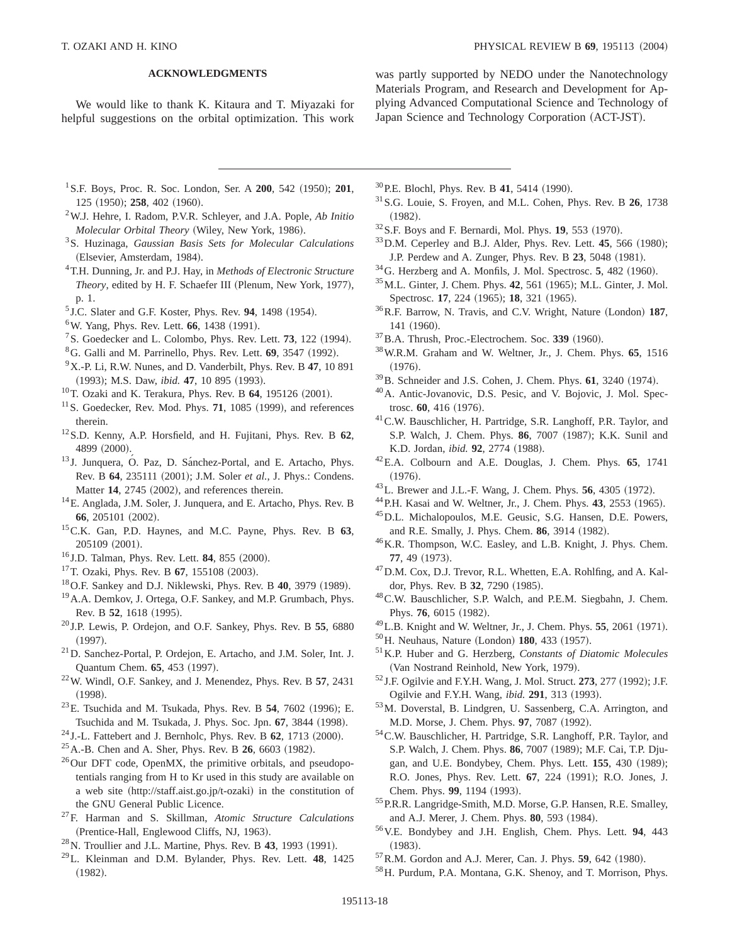# **ACKNOWLEDGMENTS**

We would like to thank K. Kitaura and T. Miyazaki for helpful suggestions on the orbital optimization. This work

- was partly supported by NEDO under the Nanotechnology Materials Program, and Research and Development for Applying Advanced Computational Science and Technology of Japan Science and Technology Corporation (ACT-JST).
- <sup>1</sup> S.F. Boys, Proc. R. Soc. London, Ser. A  $200$ , 542 (1950); **201**, 125 (1950); **258**, 402 (1960).
- 2W.J. Hehre, I. Radom, P.V.R. Schleyer, and J.A. Pople, *Ab Initio Molecular Orbital Theory* (Wiley, New York, 1986).
- 3S. Huzinaga, *Gaussian Basis Sets for Molecular Calculations* (Elsevier, Amsterdam, 1984).
- 4T.H. Dunning, Jr. and P.J. Hay, in *Methods of Electronic Structure Theory*, edited by H. F. Schaefer III (Plenum, New York, 1977), p. 1.
- $5$  J.C. Slater and G.F. Koster, Phys. Rev. 94, 1498 (1954).
- <sup>6</sup>W. Yang, Phys. Rev. Lett. **66**, 1438 (1991).
- <sup>7</sup>S. Goedecker and L. Colombo, Phys. Rev. Lett. **73**, 122 (1994).
- <sup>8</sup>G. Galli and M. Parrinello, Phys. Rev. Lett. **69**, 3547 (1992).
- 9X.-P. Li, R.W. Nunes, and D. Vanderbilt, Phys. Rev. B **47**, 10 891 (1993); M.S. Daw, *ibid.* **47**, 10 895 (1993).
- <sup>10</sup>T. Ozaki and K. Terakura, Phys. Rev. B **64**, 195126 (2001).
- $11$ S. Goedecker, Rev. Mod. Phys. **71**, 1085 (1999), and references therein.
- 12S.D. Kenny, A.P. Horsfield, and H. Fujitani, Phys. Rev. B **62**, 4899 (2000).
- $13$  J. Junquera,  $\acute{O}$ . Paz, D. Sanchez-Portal, and E. Artacho, Phys. Rev. B 64, 235111 (2001); J.M. Soler *et al.*, J. Phys.: Condens. Matter 14, 2745 (2002), and references therein.
- 14E. Anglada, J.M. Soler, J. Junquera, and E. Artacho, Phys. Rev. B 66, 205101 (2002).
- 15C.K. Gan, P.D. Haynes, and M.C. Payne, Phys. Rev. B **63**, 205109 (2001).
- $^{16}$  J.D. Talman, Phys. Rev. Lett. **84**, 855  $(2000)$ .
- <sup>17</sup>T. Ozaki, Phys. Rev. B **67**, 155108 (2003).
- <sup>18</sup> O.F. Sankey and D.J. Niklewski, Phys. Rev. B 40, 3979 (1989).
- <sup>19</sup> A.A. Demkov, J. Ortega, O.F. Sankey, and M.P. Grumbach, Phys. Rev. B 52, 1618 (1995).
- <sup>20</sup> J.P. Lewis, P. Ordejon, and O.F. Sankey, Phys. Rev. B **55**, 6880  $(1997).$
- 21D. Sanchez-Portal, P. Ordejon, E. Artacho, and J.M. Soler, Int. J. Quantum Chem. **65**, 453 (1997).
- 22W. Windl, O.F. Sankey, and J. Menendez, Phys. Rev. B **57**, 2431  $(1998).$
- <sup>23</sup> E. Tsuchida and M. Tsukada, Phys. Rev. B 54, 7602 (1996); E. Tsuchida and M. Tsukada, J. Phys. Soc. Jpn. 67, 3844 (1998).
- $24$  J.-L. Fattebert and J. Bernholc, Phys. Rev. B  $62$ , 1713  $(2000)$ .
- $^{25}$  A.-B. Chen and A. Sher, Phys. Rev. B  $26, 6603$  (1982).
- $^{26}$ Our DFT code, OpenMX, the primitive orbitals, and pseudopotentials ranging from H to Kr used in this study are available on a web site (http://staff.aist.go.jp/t-ozaki) in the constitution of the GNU General Public Licence.
- 27F. Harman and S. Skillman, *Atomic Structure Calculations* (Prentice-Hall, Englewood Cliffs, NJ, 1963).
- <sup>28</sup> N. Troullier and J.L. Martine, Phys. Rev. B 43, 1993 (1991).
- 29L. Kleinman and D.M. Bylander, Phys. Rev. Lett. **48**, 1425  $(1982).$
- <sup>30</sup> P.E. Blochl, Phys. Rev. B 41, 5414 (1990).
- 31S.G. Louie, S. Froyen, and M.L. Cohen, Phys. Rev. B **26**, 1738  $(1982).$
- <sup>32</sup> S.F. Boys and F. Bernardi, Mol. Phys. **19**, 553 (1970).
- $33$  D.M. Ceperley and B.J. Alder, Phys. Rev. Lett.  $45, 566$  (1980); J.P. Perdew and A. Zunger, Phys. Rev. B 23, 5048 (1981).
- $34$ G. Herzberg and A. Monfils, J. Mol. Spectrosc.  $5$ , 482 (1960).
- <sup>35</sup> M.L. Ginter, J. Chem. Phys. **42**, 561 (1965); M.L. Ginter, J. Mol. Spectrosc. **17**, 224 (1965); **18**, 321 (1965).
- <sup>36</sup>R.F. Barrow, N. Travis, and C.V. Wright, Nature (London) 187, 141 (1960).
- $37$ B.A. Thrush, Proc.-Electrochem. Soc. **339** (1960).
- 38W.R.M. Graham and W. Weltner, Jr., J. Chem. Phys. **65**, 1516  $(1976).$
- <sup>39</sup>B. Schneider and J.S. Cohen, J. Chem. Phys. **61**, 3240 (1974).
- 40A. Antic-Jovanovic, D.S. Pesic, and V. Bojovic, J. Mol. Spectrosc. 60, 416 (1976).
- 41C.W. Bauschlicher, H. Partridge, S.R. Langhoff, P.R. Taylor, and S.P. Walch, J. Chem. Phys. 86, 7007 (1987); K.K. Sunil and K.D. Jordan, *ibid.* 92, 2774 (1988).
- 42E.A. Colbourn and A.E. Douglas, J. Chem. Phys. **65**, 1741  $(1976).$
- <sup>43</sup>L. Brewer and J.L.-F. Wang, J. Chem. Phys. **56**, 4305 (1972).
- <sup>44</sup> P.H. Kasai and W. Weltner, Jr., J. Chem. Phys. **43**, 2553 (1965).
- 45D.L. Michalopoulos, M.E. Geusic, S.G. Hansen, D.E. Powers, and R.E. Smally, J. Phys. Chem. **86**, 3914 (1982).
- 46K.R. Thompson, W.C. Easley, and L.B. Knight, J. Phys. Chem. **77**, 49 (1973).
- 47D.M. Cox, D.J. Trevor, R.L. Whetten, E.A. Rohlfing, and A. Kaldor, Phys. Rev. B 32, 7290 (1985).
- 48C.W. Bauschlicher, S.P. Walch, and P.E.M. Siegbahn, J. Chem. Phys. **76**, 6015 (1982).
- <sup>49</sup> L.B. Knight and W. Weltner, Jr., J. Chem. Phys. **55**, 2061 (1971).
- <sup>50</sup>H. Neuhaus, Nature (London) **180**, 433 (1957).
- 51K.P. Huber and G. Herzberg, *Constants of Diatomic Molecules* (Van Nostrand Reinhold, New York, 1979).
- <sup>52</sup> J.F. Ogilvie and F.Y.H. Wang, J. Mol. Struct. **273**, 277 (1992); J.F. Ogilvie and F.Y.H. Wang, *ibid.* **291**, 313 (1993).
- 53M. Doverstal, B. Lindgren, U. Sassenberg, C.A. Arrington, and M.D. Morse, J. Chem. Phys. 97, 7087 (1992).
- 54C.W. Bauschlicher, H. Partridge, S.R. Langhoff, P.R. Taylor, and S.P. Walch, J. Chem. Phys. 86, 7007 (1989); M.F. Cai, T.P. Djugan, and U.E. Bondybey, Chem. Phys. Lett. **155**, 430 (1989); R.O. Jones, Phys. Rev. Lett. **67**, 224 (1991); R.O. Jones, J. Chem. Phys. 99, 1194 (1993).
- 55P.R.R. Langridge-Smith, M.D. Morse, G.P. Hansen, R.E. Smalley, and A.J. Merer, J. Chem. Phys. 80, 593 (1984).
- 56V.E. Bondybey and J.H. English, Chem. Phys. Lett. **94**, 443  $(1983).$
- $57$  R.M. Gordon and A.J. Merer, Can. J. Phys.  $59, 642$  (1980).
- 58H. Purdum, P.A. Montana, G.K. Shenoy, and T. Morrison, Phys.